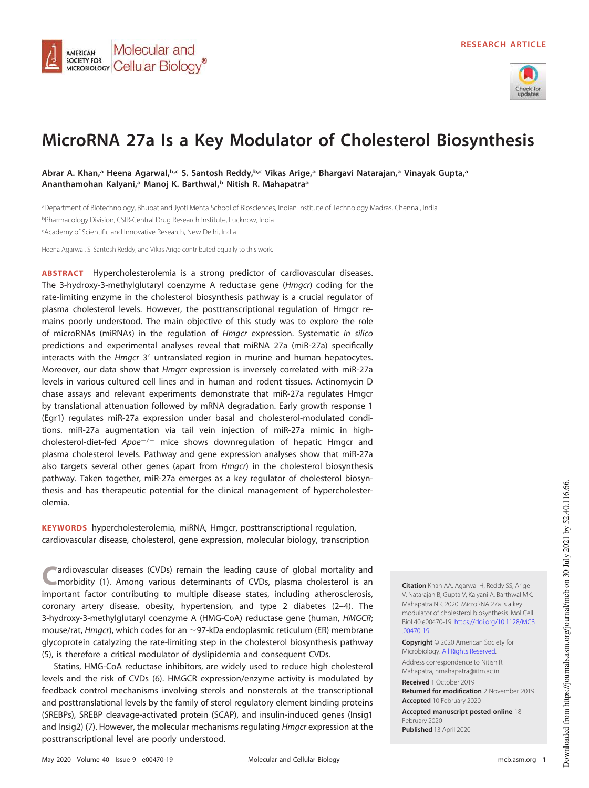

# **MicroRNA 27a Is a Key Modulator of Cholesterol Biosynthesis**

**Abrar A. Khan,<sup>a</sup> Heena Agarwal,b,c S. Santosh Reddy,b,c Vikas Arige,<sup>a</sup> Bhargavi Natarajan,<sup>a</sup> Vinayak Gupta,<sup>a</sup> Ananthamohan Kalyani,<sup>a</sup> Manoj K. Barthwal,<sup>b</sup> Nitish R. Mahapatra<sup>a</sup>**

<sup>a</sup>Department of Biotechnology, Bhupat and Jyoti Mehta School of Biosciences, Indian Institute of Technology Madras, Chennai, India <sup>b</sup>Pharmacology Division, CSIR-Central Drug Research Institute, Lucknow, India <sup>c</sup>Academy of Scientific and Innovative Research, New Delhi, India

Heena Agarwal, S. Santosh Reddy, and Vikas Arige contributed equally to this work.

Molecular and

MICROBIOLOGY Cellular Biology<sup>®</sup>

**AMERICAN SOCIETY FOR** 

**ABSTRACT** Hypercholesterolemia is a strong predictor of cardiovascular diseases. The 3-hydroxy-3-methylglutaryl coenzyme A reductase gene (Hmgcr) coding for the rate-limiting enzyme in the cholesterol biosynthesis pathway is a crucial regulator of plasma cholesterol levels. However, the posttranscriptional regulation of Hmgcr remains poorly understood. The main objective of this study was to explore the role of microRNAs (miRNAs) in the regulation of Hmgcr expression. Systematic in silico predictions and experimental analyses reveal that miRNA 27a (miR-27a) specifically interacts with the Hmgcr 3' untranslated region in murine and human hepatocytes. Moreover, our data show that Hmgcr expression is inversely correlated with miR-27a levels in various cultured cell lines and in human and rodent tissues. Actinomycin D chase assays and relevant experiments demonstrate that miR-27a regulates Hmgcr by translational attenuation followed by mRNA degradation. Early growth response 1 (Egr1) regulates miR-27a expression under basal and cholesterol-modulated conditions. miR-27a augmentation via tail vein injection of miR-27a mimic in highcholesterol-diet-fed Apoe<sup>-/-</sup> mice shows downregulation of hepatic Hmgcr and plasma cholesterol levels. Pathway and gene expression analyses show that miR-27a also targets several other genes (apart from *Hmgcr*) in the cholesterol biosynthesis pathway. Taken together, miR-27a emerges as a key regulator of cholesterol biosynthesis and has therapeutic potential for the clinical management of hypercholesterolemia.

**KEYWORDS** hypercholesterolemia, miRNA, Hmgcr, posttranscriptional regulation, cardiovascular disease, cholesterol, gene expression, molecular biology, transcription

**C** ardiovascular diseases (CVDs) remain the leading cause of global mortality and morbidity [\(1\)](#page-19-0). Among various determinants of CVDs, plasma cholesterol is an important factor contributing to multiple disease states, including atherosclerosis, coronary artery disease, obesity, hypertension, and type 2 diabetes [\(2](#page-19-1)[–](#page-19-2)[4\)](#page-19-3). The 3-hydroxy-3-methylglutaryl coenzyme A (HMG-CoA) reductase gene (human, HMGCR; mouse/rat, *Hmgcr*), which codes for an  $\sim$ 97-kDa endoplasmic reticulum (ER) membrane glycoprotein catalyzing the rate-limiting step in the cholesterol biosynthesis pathway [\(5\)](#page-19-4), is therefore a critical modulator of dyslipidemia and consequent CVDs.

Statins, HMG-CoA reductase inhibitors, are widely used to reduce high cholesterol levels and the risk of CVDs [\(6\)](#page-19-5). HMGCR expression/enzyme activity is modulated by feedback control mechanisms involving sterols and nonsterols at the transcriptional and posttranslational levels by the family of sterol regulatory element binding proteins (SREBPs), SREBP cleavage-activated protein (SCAP), and insulin-induced genes (Insig1 and Insig2) [\(7\)](#page-19-6). However, the molecular mechanisms regulating *Hmgcr* expression at the posttranscriptional level are poorly understood.

**Citation** Khan AA, Agarwal H, Reddy SS, Arige V, Natarajan B, Gupta V, Kalyani A, Barthwal MK, Mahapatra NR. 2020. MicroRNA 27a is a key modulator of cholesterol biosynthesis. Mol Cell Biol 40:e00470-19. https://doi.org/10.1128/MCB .00470-19.

**Copyright** © 2020 American Society for Microbiology. All Rights Reserved.

Address correspondence to Nitish R. Mahapatra, nmahapatra@iitm.ac.in. **Received** 1 October 2019 **Returned for modification** 2 November 2019 **Accepted** 10 February 2020

**Accepted manuscript posted online** 18 February 2020 **Published** 13 April 2020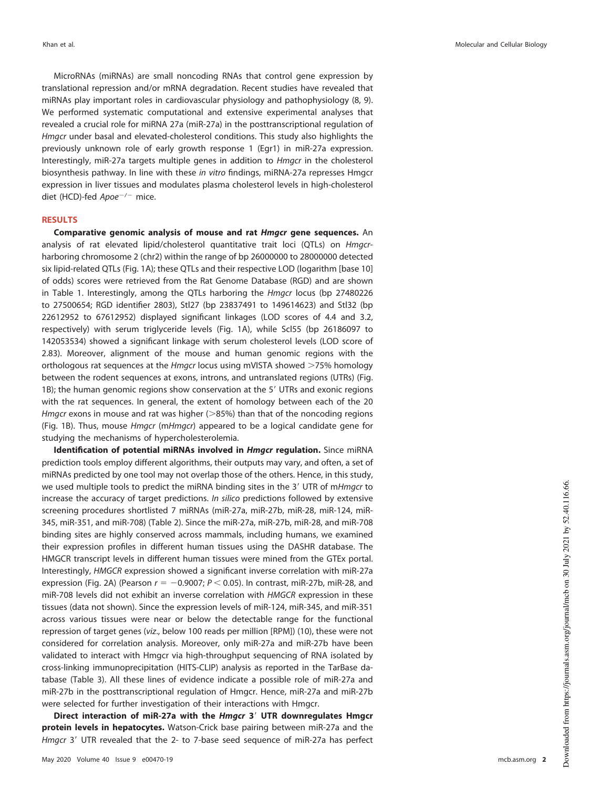MicroRNAs (miRNAs) are small noncoding RNAs that control gene expression by translational repression and/or mRNA degradation. Recent studies have revealed that miRNAs play important roles in cardiovascular physiology and pathophysiology [\(8,](#page-19-7) [9\)](#page-19-8). We performed systematic computational and extensive experimental analyses that revealed a crucial role for miRNA 27a (miR-27a) in the posttranscriptional regulation of Hmgcr under basal and elevated-cholesterol conditions. This study also highlights the previously unknown role of early growth response 1 (Egr1) in miR-27a expression. Interestingly, miR-27a targets multiple genes in addition to Hmgcr in the cholesterol biosynthesis pathway. In line with these in vitro findings, miRNA-27a represses Hmgcr expression in liver tissues and modulates plasma cholesterol levels in high-cholesterol diet (HCD)-fed Apoe<sup>-/-</sup> mice.

### **RESULTS**

**Comparative genomic analysis of mouse and rat Hmgcr gene sequences.** An analysis of rat elevated lipid/cholesterol quantitative trait loci (QTLs) on *Hmgcr*harboring chromosome 2 (chr2) within the range of bp 26000000 to 28000000 detected six lipid-related QTLs [\(Fig. 1A\)](#page-2-0); these QTLs and their respective LOD (logarithm [base 10] of odds) scores were retrieved from the Rat Genome Database (RGD) and are shown in [Table 1.](#page-3-0) Interestingly, among the QTLs harboring the Hmgcr locus (bp 27480226 to 27500654; RGD identifier 2803), Stl27 (bp 23837491 to 149614623) and Stl32 (bp 22612952 to 67612952) displayed significant linkages (LOD scores of 4.4 and 3.2, respectively) with serum triglyceride levels [\(Fig. 1A\)](#page-2-0), while Scl55 (bp 26186097 to 142053534) showed a significant linkage with serum cholesterol levels (LOD score of 2.83). Moreover, alignment of the mouse and human genomic regions with the orthologous rat sequences at the *Hmgcr* locus using mVISTA showed  $>75\%$  homology between the rodent sequences at exons, introns, and untranslated regions (UTRs) [\(Fig.](#page-2-0) [1B\)](#page-2-0); the human genomic regions show conservation at the 5' UTRs and exonic regions with the rat sequences. In general, the extent of homology between each of the 20 Hmgcr exons in mouse and rat was higher ( $>$ 85%) than that of the noncoding regions [\(Fig. 1B\)](#page-2-0). Thus, mouse Hmgcr (mHmgcr) appeared to be a logical candidate gene for studying the mechanisms of hypercholesterolemia.

**Identification of potential miRNAs involved in Hmgcr regulation.** Since miRNA prediction tools employ different algorithms, their outputs may vary, and often, a set of miRNAs predicted by one tool may not overlap those of the others. Hence, in this study, we used multiple tools to predict the miRNA binding sites in the 3' UTR of mHmgcr to increase the accuracy of target predictions. In silico predictions followed by extensive screening procedures shortlisted 7 miRNAs (miR-27a, miR-27b, miR-28, miR-124, miR-345, miR-351, and miR-708) [\(Table 2\)](#page-3-1). Since the miR-27a, miR-27b, miR-28, and miR-708 binding sites are highly conserved across mammals, including humans, we examined their expression profiles in different human tissues using the DASHR database. The HMGCR transcript levels in different human tissues were mined from the GTEx portal. Interestingly, HMGCR expression showed a significant inverse correlation with miR-27a expression [\(Fig. 2A\)](#page-4-0) (Pearson  $r = -0.9007; P < 0.05$ ). In contrast, miR-27b, miR-28, and miR-708 levels did not exhibit an inverse correlation with HMGCR expression in these tissues (data not shown). Since the expression levels of miR-124, miR-345, and miR-351 across various tissues were near or below the detectable range for the functional repression of target genes (viz., below 100 reads per million [RPM]) [\(10\)](#page-19-9), these were not considered for correlation analysis. Moreover, only miR-27a and miR-27b have been validated to interact with Hmgcr via high-throughput sequencing of RNA isolated by cross-linking immunoprecipitation (HITS-CLIP) analysis as reported in the TarBase database [\(Table 3\)](#page-4-1). All these lines of evidence indicate a possible role of miR-27a and miR-27b in the posttranscriptional regulation of Hmgcr. Hence, miR-27a and miR-27b were selected for further investigation of their interactions with Hmgcr.

**Direct interaction of miR-27a with the Hmgcr 3**= **UTR downregulates Hmgcr protein levels in hepatocytes.** Watson-Crick base pairing between miR-27a and the Hmgcr 3' UTR revealed that the 2- to 7-base seed sequence of miR-27a has perfect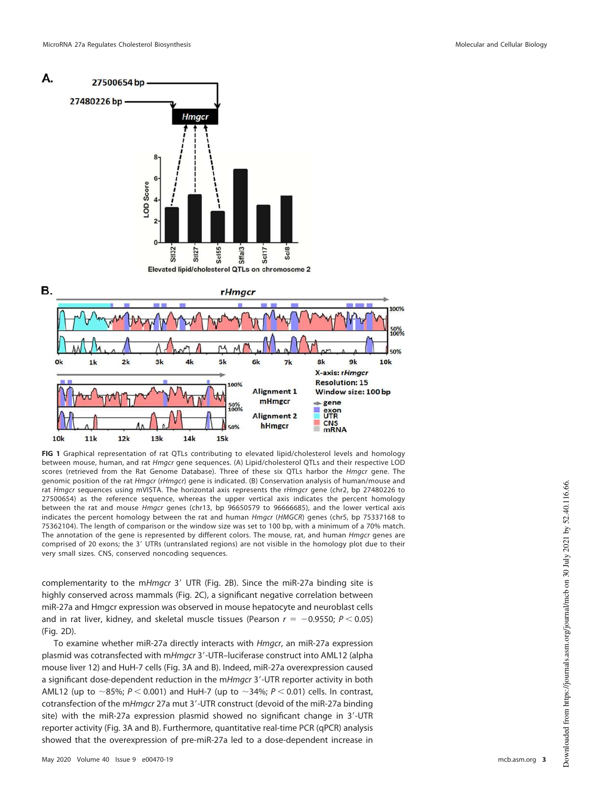

<span id="page-2-0"></span>**FIG 1** Graphical representation of rat QTLs contributing to elevated lipid/cholesterol levels and homology between mouse, human, and rat Hmgcr gene sequences. (A) Lipid/cholesterol QTLs and their respective LOD scores (retrieved from the Rat Genome Database). Three of these six QTLs harbor the *Hmgcr* gene. The genomic position of the rat Hmgcr (rHmgcr) gene is indicated. (B) Conservation analysis of human/mouse and rat Hmgcr sequences using mVISTA. The horizontal axis represents the rHmgcr gene (chr2, bp 27480226 to 27500654) as the reference sequence, whereas the upper vertical axis indicates the percent homology between the rat and mouse Hmgcr genes (chr13, bp 96650579 to 96666685), and the lower vertical axis indicates the percent homology between the rat and human Hmgcr (HMGCR) genes (chr5, bp 75337168 to 75362104). The length of comparison or the window size was set to 100 bp, with a minimum of a 70% match. The annotation of the gene is represented by different colors. The mouse, rat, and human Hmgcr genes are comprised of 20 exons; the 3' UTRs (untranslated regions) are not visible in the homology plot due to their very small sizes. CNS, conserved noncoding sequences.

complementarity to the mHmgcr 3' UTR [\(Fig. 2B\)](#page-4-0). Since the miR-27a binding site is highly conserved across mammals [\(Fig. 2C\)](#page-4-0), a significant negative correlation between miR-27a and Hmgcr expression was observed in mouse hepatocyte and neuroblast cells and in rat liver, kidney, and skeletal muscle tissues (Pearson  $r = -0.9550; P < 0.05$ ) [\(Fig. 2D\)](#page-4-0).

To examine whether miR-27a directly interacts with Hmgcr, an miR-27a expression plasmid was cotransfected with mHmgcr 3'-UTR-luciferase construct into AML12 (alpha mouse liver 12) and HuH-7 cells [\(Fig. 3A](#page-5-0) and [B\)](#page-5-0). Indeed, miR-27a overexpression caused a significant dose-dependent reduction in the mHmgcr 3'-UTR reporter activity in both AML12 (up to ~85%;  $P < 0.001$ ) and HuH-7 (up to ~34%;  $P < 0.01$ ) cells. In contrast, cotransfection of the mHmgcr 27a mut 3'-UTR construct (devoid of the miR-27a binding site) with the miR-27a expression plasmid showed no significant change in 3'-UTR reporter activity [\(Fig. 3A](#page-5-0) and [B\)](#page-5-0). Furthermore, quantitative real-time PCR (qPCR) analysis showed that the overexpression of pre-miR-27a led to a dose-dependent increase in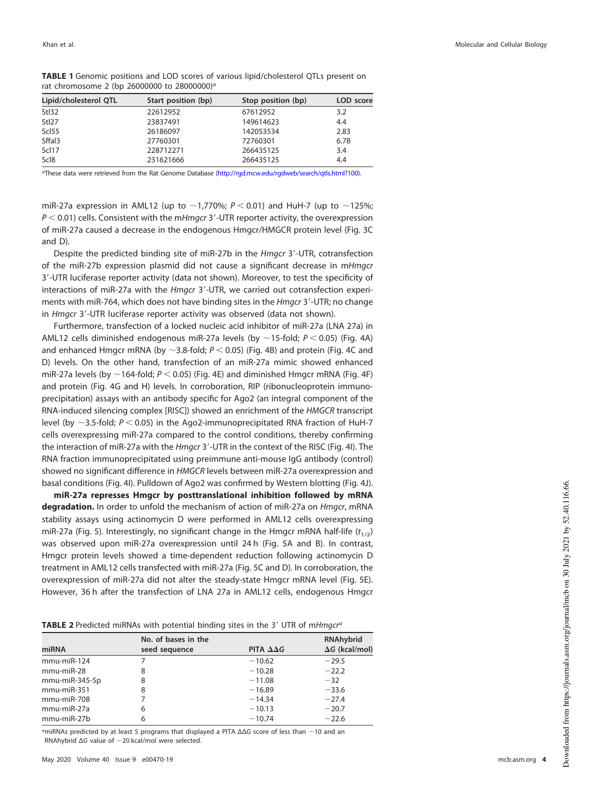| Lipid/cholesterol QTL | Start position (bp) | Stop position (bp) | LOD score |
|-----------------------|---------------------|--------------------|-----------|
| Stl32                 | 22612952            | 67612952           | 3.2       |
| Stl27                 | 23837491            | 149614623          | 4.4       |
| Scl55                 | 26186097            | 142053534          | 2.83      |
| Sffal3                | 27760301            | 72760301           | 6.78      |
| Scl17                 | 228712271           | 266435125          | 3.4       |
| Scl <sub>8</sub>      | 231621666           | 266435125          | 4.4       |

<span id="page-3-0"></span>**TABLE 1** Genomic positions and LOD scores of various lipid/cholesterol QTLs present on rat chromosome 2 (bp 26000000 to 28000000)<sup>a</sup>

aThese data were retrieved from the Rat Genome Database (http://rgd.mcw.edu/rgdweb/search/qtls.html?100).

miR-27a expression in AML12 (up to  $\sim$  1,770%; P < 0.01) and HuH-7 (up to  $\sim$  125%;  $P < 0.01$ ) cells. Consistent with the mHmgcr 3'-UTR reporter activity, the overexpression of miR-27a caused a decrease in the endogenous Hmgcr/HMGCR protein level [\(Fig. 3C](#page-5-0) and [D\)](#page-5-0).

Despite the predicted binding site of miR-27b in the *Hmgcr* 3'-UTR, cotransfection of the miR-27b expression plasmid did not cause a significant decrease in mHmgcr 3'-UTR luciferase reporter activity (data not shown). Moreover, to test the specificity of interactions of miR-27a with the *Hmgcr* 3'-UTR, we carried out cotransfection experiments with miR-764, which does not have binding sites in the *Hmgcr* 3'-UTR; no change in Hmgcr 3'-UTR luciferase reporter activity was observed (data not shown).

Furthermore, transfection of a locked nucleic acid inhibitor of miR-27a (LNA 27a) in AML12 cells diminished endogenous miR-27a levels (by  $\sim$ 15-fold; P < 0.05) [\(Fig. 4A\)](#page-6-0) and enhanced Hmgcr mRNA (by  $\sim$ 3.8-fold;  $P$  < 0.05) [\(Fig. 4B\)](#page-6-0) and protein [\(Fig. 4C](#page-6-0) and [D\)](#page-6-0) levels. On the other hand, transfection of an miR-27a mimic showed enhanced miR-27a levels (by  $\sim$  164-fold; P < 0.05) [\(Fig. 4E\)](#page-6-0) and diminished Hmgcr mRNA [\(Fig. 4F\)](#page-6-0) and protein [\(Fig. 4G](#page-6-0) and [H\)](#page-6-0) levels. In corroboration, RIP (ribonucleoprotein immunoprecipitation) assays with an antibody specific for Ago2 (an integral component of the RNA-induced silencing complex [RISC]) showed an enrichment of the HMGCR transcript level (by  $\sim$ 3.5-fold; P < 0.05) in the Ago2-immunoprecipitated RNA fraction of HuH-7 cells overexpressing miR-27a compared to the control conditions, thereby confirming the interaction of miR-27a with the *Hmgcr* 3'-UTR in the context of the RISC [\(Fig. 4I\)](#page-6-0). The RNA fraction immunoprecipitated using preimmune anti-mouse IgG antibody (control) showed no significant difference in HMGCR levels between miR-27a overexpression and basal conditions [\(Fig. 4I\)](#page-6-0). Pulldown of Ago2 was confirmed by Western blotting [\(Fig. 4J\)](#page-6-0).

**miR-27a represses Hmgcr by posttranslational inhibition followed by mRNA degradation.** In order to unfold the mechanism of action of miR-27a on *Hmgcr*, mRNA stability assays using actinomycin D were performed in AML12 cells overexpressing miR-27a [\(Fig. 5\)](#page-7-0). Interestingly, no significant change in the Hmgcr mRNA half-life ( $t_{1/2}$ ) was observed upon miR-27a overexpression until 24 h [\(Fig. 5A](#page-7-0) and [B\)](#page-7-0). In contrast, Hmgcr protein levels showed a time-dependent reduction following actinomycin D treatment in AML12 cells transfected with miR-27a [\(Fig. 5C](#page-7-0) and [D\)](#page-7-0). In corroboration, the overexpression of miR-27a did not alter the steady-state Hmgcr mRNA level [\(Fig. 5E\)](#page-7-0). However, 36 h after the transfection of LNA 27a in AML12 cells, endogenous Hmgcr

<span id="page-3-1"></span>**TABLE 2** Predicted miRNAs with potential binding sites in the 3' UTR of mHmgcr<sup>a</sup>

| miRNA                 | No. of bases in the<br>seed sequence | PITA ΔΔG | <b>RNAhybrid</b><br>$\Delta G$ (kcal/mol) |
|-----------------------|--------------------------------------|----------|-------------------------------------------|
| $mmu$ -mi $R-124$     |                                      | $-10.62$ | $-29.5$                                   |
| $mmu$ -mi $R-28$      | 8                                    | $-10.28$ | $-22.2$                                   |
| $mmu$ -mi $R$ -345-5p | 8                                    | $-11.08$ | $-32$                                     |
| $mmu$ -mi $R-351$     | 8                                    | $-16.89$ | $-33.6$                                   |
| $mmu$ -mi $R$ -708    |                                      | $-14.34$ | $-27.4$                                   |
| mmu-miR-27a           | 6                                    | $-10.13$ | $-20.7$                                   |
| mmu-miR-27b           | 6                                    | $-10.74$ | $-22.6$                                   |
|                       |                                      |          |                                           |

<sup>a</sup>miRNAs predicted by at least 5 programs that displayed a PITA ΔΔG score of less than -10 and an RNAhybrid ΔG value of -20 kcal/mol were selected.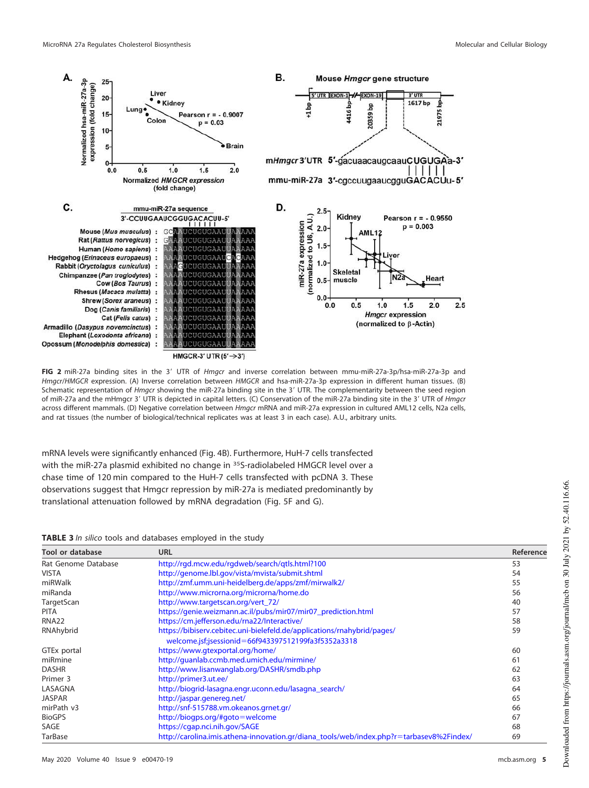

<span id="page-4-0"></span>FIG 2 miR-27a binding sites in the 3' UTR of Hmgcr and inverse correlation between mmu-miR-27a-3p/hsa-miR-27a-3p and Hmgcr/HMGCR expression. (A) Inverse correlation between HMGCR and hsa-miR-27a-3p expression in different human tissues. (B) Schematic representation of Hmgcr showing the miR-27a binding site in the 3' UTR. The complementarity between the seed region of miR-27a and the mHmgcr 3' UTR is depicted in capital letters. (C) Conservation of the miR-27a binding site in the 3' UTR of Hmgcr across different mammals. (D) Negative correlation between Hmgcr mRNA and miR-27a expression in cultured AML12 cells, N2a cells, and rat tissues (the number of biological/technical replicates was at least 3 in each case). A.U., arbitrary units.

mRNA levels were significantly enhanced [\(Fig. 4B\)](#page-6-0). Furthermore, HuH-7 cells transfected with the miR-27a plasmid exhibited no change in <sup>35</sup>S-radiolabeled HMGCR level over a chase time of 120 min compared to the HuH-7 cells transfected with pcDNA 3. These observations suggest that Hmgcr repression by miR-27a is mediated predominantly by translational attenuation followed by mRNA degradation [\(Fig. 5F](#page-7-0) and [G\)](#page-7-0).

### <span id="page-4-1"></span>**TABLE 3** In silico tools and databases employed in the study

| <b>Tool or database</b> | <b>URL</b>                                                                                                                     | Reference |
|-------------------------|--------------------------------------------------------------------------------------------------------------------------------|-----------|
| Rat Genome Database     | http://rqd.mcw.edu/rqdweb/search/qtls.html?100                                                                                 | 53        |
| <b>VISTA</b>            | http://genome.lbl.gov/vista/mvista/submit.shtml                                                                                | 54        |
| miRWalk                 | http://zmf.umm.uni-heidelberg.de/apps/zmf/mirwalk2/                                                                            | 55        |
| miRanda                 | http://www.microrna.org/microrna/home.do                                                                                       | 56        |
| TargetScan              | http://www.targetscan.org/vert_72/                                                                                             | 40        |
| <b>PITA</b>             | https://genie.weizmann.ac.il/pubs/mir07/mir07_prediction.html                                                                  | 57        |
| <b>RNA22</b>            | https://cm.jefferson.edu/rna22/Interactive/                                                                                    | 58        |
| RNAhybrid               | https://bibiserv.cebitec.uni-bielefeld.de/applications/rnahybrid/pages/<br>welcome.jsf;jsessionid=66f943397512199fa3f5352a3318 | 59        |
| GTEx portal             | https://www.gtexportal.org/home/                                                                                               | 60        |
| miRmine                 | http://quanlab.ccmb.med.umich.edu/mirmine/                                                                                     | 61        |
| <b>DASHR</b>            | http://www.lisanwanglab.org/DASHR/smdb.php                                                                                     | 62        |
| Primer 3                | http://primer3.ut.ee/                                                                                                          | 63        |
| LASAGNA                 | http://biogrid-lasagna.engr.uconn.edu/lasagna_search/                                                                          | 64        |
| <b>JASPAR</b>           | http://jaspar.genereg.net/                                                                                                     | 65        |
| mirPath v3              | http://snf-515788.vm.okeanos.grnet.gr/                                                                                         | 66        |
| <b>BioGPS</b>           | http://biogps.org/#goto=welcome                                                                                                | 67        |
| SAGE                    | https://cgap.nci.nih.gov/SAGE                                                                                                  | 68        |
| <b>TarBase</b>          | http://carolina.imis.athena-innovation.gr/diana_tools/web/index.php?r=tarbasev8%2Findex/                                       | 69        |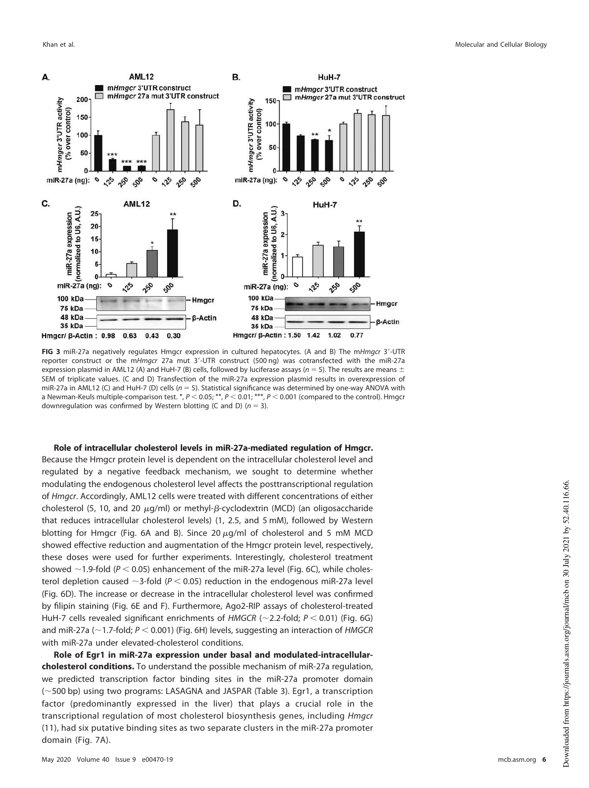

<span id="page-5-0"></span>FIG 3 miR-27a negatively regulates Hmgcr expression in cultured hepatocytes. (A and B) The mHmgcr 3'-UTR reporter construct or the mHmacr 27a mut 3'-UTR construct (500 ng) was cotransfected with the miR-27a expression plasmid in AML12 (A) and HuH-7 (B) cells, followed by luciferase assays ( $n = 5$ ). The results are means  $\pm$ SEM of triplicate values. (C and D) Transfection of the miR-27a expression plasmid results in overexpression of miR-27a in AML12 (C) and HuH-7 (D) cells ( $n = 5$ ). Statistical significance was determined by one-way ANOVA with a Newman-Keuls multiple-comparison test. \*,  $P < 0.05$ ; \*\*,  $P < 0.01$ ; \*\*\*,  $P < 0.001$  (compared to the control). Hmgcr downregulation was confirmed by Western blotting (C and D) ( $n = 3$ ).

**Role of intracellular cholesterol levels in miR-27a-mediated regulation of Hmgcr.** Because the Hmgcr protein level is dependent on the intracellular cholesterol level and regulated by a negative feedback mechanism, we sought to determine whether modulating the endogenous cholesterol level affects the posttranscriptional regulation of Hmgcr. Accordingly, AML12 cells were treated with different concentrations of either cholesterol (5, 10, and 20  $\mu$ g/ml) or methyl- $\beta$ -cyclodextrin (MCD) (an oligosaccharide that reduces intracellular cholesterol levels) (1, 2.5, and 5 mM), followed by Western blotting for Hmgcr [\(Fig. 6A](#page-8-0) and [B\)](#page-8-0). Since 20  $\mu$ g/ml of cholesterol and 5 mM MCD showed effective reduction and augmentation of the Hmgcr protein level, respectively, these doses were used for further experiments. Interestingly, cholesterol treatment showed  $\sim$  1.9-fold (P < 0.05) enhancement of the miR-27a level [\(Fig. 6C\)](#page-8-0), while cholesterol depletion caused  $\sim$ 3-fold ( $P < 0.05$ ) reduction in the endogenous miR-27a level [\(Fig. 6D\)](#page-8-0). The increase or decrease in the intracellular cholesterol level was confirmed by filipin staining [\(Fig. 6E](#page-8-0) and [F\)](#page-8-0). Furthermore, Ago2-RIP assays of cholesterol-treated HuH-7 cells revealed significant enrichments of HMGCR ( $\sim$ 2.2-fold; P < 0.01) [\(Fig. 6G\)](#page-8-0) and miR-27a ( $\sim$  1.7-fold; P < 0.001) [\(Fig. 6H\)](#page-8-0) levels, suggesting an interaction of HMGCR with miR-27a under elevated-cholesterol conditions.

**Role of Egr1 in miR-27a expression under basal and modulated-intracellularcholesterol conditions.** To understand the possible mechanism of miR-27a regulation, we predicted transcription factor binding sites in the miR-27a promoter domain (500 bp) using two programs: LASAGNA and JASPAR [\(Table 3\)](#page-4-1). Egr1, a transcription factor (predominantly expressed in the liver) that plays a crucial role in the transcriptional regulation of most cholesterol biosynthesis genes, including Hmgcr [\(11\)](#page-19-10), had six putative binding sites as two separate clusters in the miR-27a promoter domain [\(Fig. 7A\)](#page-9-0).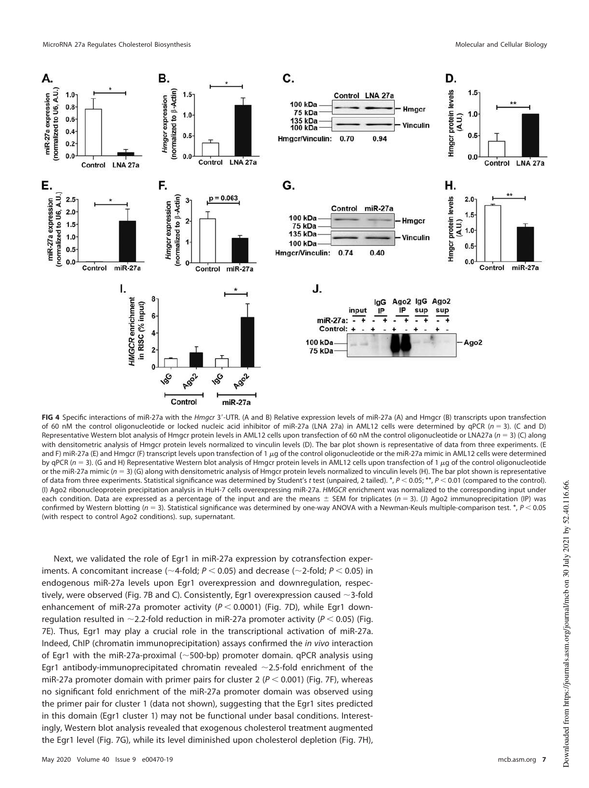

<span id="page-6-0"></span>FIG 4 Specific interactions of miR-27a with the *Hmgcr* 3'-UTR. (A and B) Relative expression levels of miR-27a (A) and Hmgcr (B) transcripts upon transfection of 60 nM the control oligonucleotide or locked nucleic acid inhibitor of miR-27a (LNA 27a) in AML12 cells were determined by qPCR ( $n = 3$ ). (C and D) Representative Western blot analysis of Hmgcr protein levels in AML12 cells upon transfection of 60 nM the control oligonucleotide or LNA27a ( $n = 3$ ) (C) along with densitometric analysis of Hmgcr protein levels normalized to vinculin levels (D). The bar plot shown is representative of data from three experiments. (E and F) miR-27a (E) and Hmgcr (F) transcript levels upon transfection of 1  $\mu$ g of the control oligonucleotide or the miR-27a mimic in AML12 cells were determined by qPCR (n = 3). (G and H) Representative Western blot analysis of Hmgcr protein levels in AML12 cells upon transfection of 1  $\mu$ g of the control oligonucleotide or the miR-27a mimic ( $n = 3$ ) (G) along with densitometric analysis of Hmgcr protein levels normalized to vinculin levels (H). The bar plot shown is representative of data from three experiments. Statistical significance was determined by Student's t test (unpaired, 2 tailed). \*,  $P < 0.05$ ; \*\*,  $P < 0.01$  (compared to the control). (I) Ago2 ribonucleoprotein precipitation analysis in HuH-7 cells overexpressing miR-27a. HMGCR enrichment was normalized to the corresponding input under each condition. Data are expressed as a percentage of the input and are the means  $\pm$  SEM for triplicates (n = 3). (J) Ago2 immunoprecipitation (IP) was confirmed by Western blotting ( $n = 3$ ). Statistical significance was determined by one-way ANOVA with a Newman-Keuls multiple-comparison test. \*,  $P < 0.05$ (with respect to control Ago2 conditions). sup, supernatant.

Next, we validated the role of Egr1 in miR-27a expression by cotransfection experiments. A concomitant increase ( $\sim$ 4-fold; P < 0.05) and decrease ( $\sim$ 2-fold; P < 0.05) in endogenous miR-27a levels upon Egr1 overexpression and downregulation, respec-tively, were observed [\(Fig. 7B](#page-9-0) and [C\)](#page-9-0). Consistently, Egr1 overexpression caused  $\sim$  3-fold enhancement of miR-27a promoter activity ( $P < 0.0001$ ) [\(Fig. 7D\)](#page-9-0), while Egr1 downregulation resulted in  $\sim$ 2.2-fold reduction in miR-27a promoter activity ( $P < 0.05$ ) [\(Fig.](#page-9-0) [7E\)](#page-9-0). Thus, Egr1 may play a crucial role in the transcriptional activation of miR-27a. Indeed, ChIP (chromatin immunoprecipitation) assays confirmed the in vivo interaction of Egr1 with the miR-27a-proximal ( $\sim$ 500-bp) promoter domain. qPCR analysis using Egr1 antibody-immunoprecipitated chromatin revealed  $\sim$ 2.5-fold enrichment of the miR-27a promoter domain with primer pairs for cluster 2 ( $P < 0.001$ ) [\(Fig. 7F\)](#page-9-0), whereas no significant fold enrichment of the miR-27a promoter domain was observed using the primer pair for cluster 1 (data not shown), suggesting that the Egr1 sites predicted in this domain (Egr1 cluster 1) may not be functional under basal conditions. Interestingly, Western blot analysis revealed that exogenous cholesterol treatment augmented the Egr1 level [\(Fig. 7G\)](#page-9-0), while its level diminished upon cholesterol depletion [\(Fig. 7H\)](#page-9-0),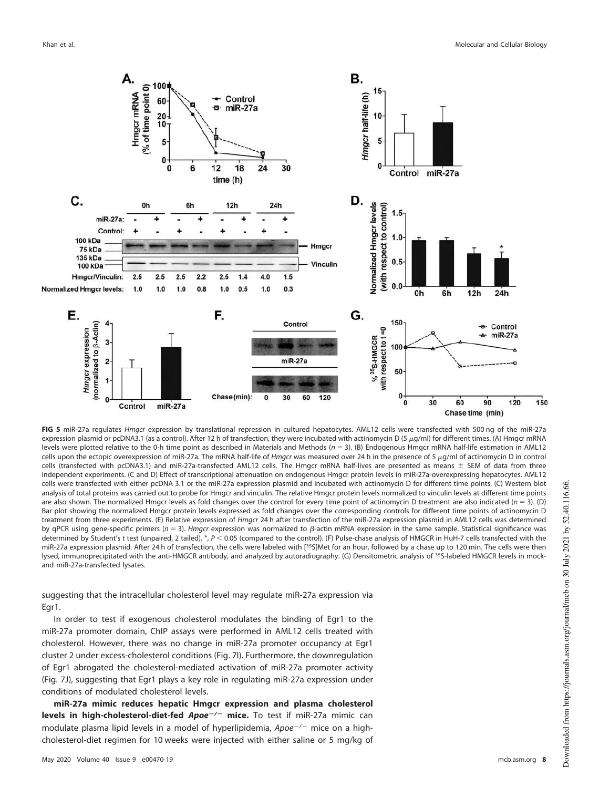

<span id="page-7-0"></span>FIG 5 miR-27a regulates Hmgcr expression by translational repression in cultured hepatocytes. AML12 cells were transfected with 500 ng of the miR-27a expression plasmid or pcDNA3.1 (as a control). After 12 h of transfection, they were incubated with actinomycin D (5  $\mu$ g/ml) for different times. (A) Hmgcr mRNA levels were plotted relative to the 0-h time point as described in Materials and Methods ( $n = 3$ ). (B) Endogenous Hmgcr mRNA half-life estimation in AML12 cells upon the ectopic overexpression of miR-27a. The mRNA half-life of *Hmgcr* was measured over 24 h in the presence of 5  $\mu$ g/ml of actinomycin D in control cells (transfected with pcDNA3.1) and miR-27a-transfected AML12 cells. The Hmgcr mRNA half-lives are presented as means  $\pm$  SEM of data from three independent experiments. (C and D) Effect of transcriptional attenuation on endogenous Hmgcr protein levels in miR-27a-overexpressing hepatocytes. AML12 cells were transfected with either pcDNA 3.1 or the miR-27a expression plasmid and incubated with actinomycin D for different time points. (C) Western blot analysis of total proteins was carried out to probe for Hmgcr and vinculin. The relative Hmgcr protein levels normalized to vinculin levels at different time points are also shown. The normalized Hmgcr levels as fold changes over the control for every time point of actinomycin D treatment are also indicated ( $n = 3$ ). (D) Bar plot showing the normalized Hmgcr protein levels expressed as fold changes over the corresponding controls for different time points of actinomycin D treatment from three experiments. (E) Relative expression of Hmgcr 24 h after transfection of the miR-27a expression plasmid in AML12 cells was determined by qPCR using gene-specific primers ( $n = 3$ ). Hmgcr expression was normalized to  $\beta$ -actin mRNA expression in the same sample. Statistical significance was determined by Student's t test (unpaired, 2 tailed).  $N_c$ , P < 0.05 (compared to the control). (F) Pulse-chase analysis of HMGCR in HuH-7 cells transfected with the miR-27a expression plasmid. After 24 h of transfection, the cells were labeled with [35S]Met for an hour, followed by a chase up to 120 min. The cells were then lysed, immunoprecipitated with the anti-HMGCR antibody, and analyzed by autoradiography. (G) Densitometric analysis of <sup>35</sup>S-labeled HMGCR levels in mockand miR-27a-transfected lysates.

suggesting that the intracellular cholesterol level may regulate miR-27a expression via Egr1.

In order to test if exogenous cholesterol modulates the binding of Egr1 to the miR-27a promoter domain, ChIP assays were performed in AML12 cells treated with cholesterol. However, there was no change in miR-27a promoter occupancy at Egr1 cluster 2 under excess-cholesterol conditions [\(Fig. 7I\)](#page-9-0). Furthermore, the downregulation of Egr1 abrogated the cholesterol-mediated activation of miR-27a promoter activity [\(Fig. 7J\)](#page-9-0), suggesting that Egr1 plays a key role in regulating miR-27a expression under conditions of modulated cholesterol levels.

**miR-27a mimic reduces hepatic Hmgcr expression and plasma cholesterol levels in high-cholesterol-diet-fed Apoe/ mice.** To test if miR-27a mimic can modulate plasma lipid levels in a model of hyperlipidemia,  $Apoe^{-/ -}$  mice on a highcholesterol-diet regimen for 10 weeks were injected with either saline or 5 mg/kg of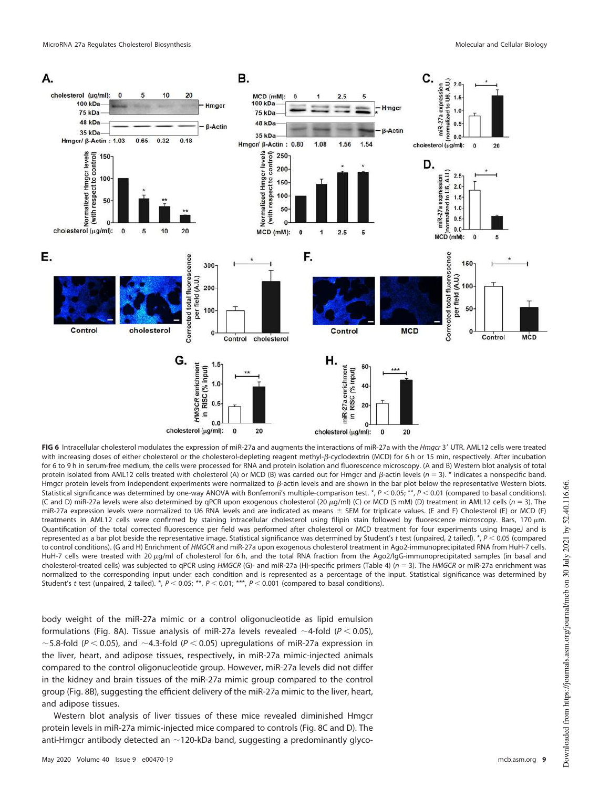

<span id="page-8-0"></span>**FIG 6** Intracellular cholesterol modulates the expression of miR-27a and augments the interactions of miR-27a with the *Hmgcr* 3' UTR. AML12 cells were treated with increasing doses of either cholesterol or the cholesterol-depleting reagent methyl-ß-cyclodextrin (MCD) for 6 h or 15 min, respectively. After incubation for 6 to 9 h in serum-free medium, the cells were processed for RNA and protein isolation and fluorescence microscopy. (A and B) Western blot analysis of total protein isolated from AML12 cells treated with cholesterol (A) or MCD (B) was carried out for Hmgcr and  $\beta$ -actin levels (n = 3). \* indicates a nonspecific band. Hmgcr protein levels from independent experiments were normalized to B-actin levels and are shown in the bar plot below the representative Western blots. Statistical significance was determined by one-way ANOVA with Bonferroni's multiple-comparison test. \*,  $P < 0.05$ ; \*\*,  $P < 0.01$  (compared to basal conditions). (C and D) miR-27a levels were also determined by qPCR upon exogenous cholesterol (20  $\mu$ g/ml) (C) or MCD (5 mM) (D) treatment in AML12 cells (n = 3). The miR-27a expression levels were normalized to U6 RNA levels and are indicated as means  $\pm$  SEM for triplicate values. (E and F) Cholesterol (E) or MCD (F) treatments in AML12 cells were confirmed by staining intracellular cholesterol using filipin stain followed by fluorescence microscopy. Bars, 170  $\mu$ m. Quantification of the total corrected fluorescence per field was performed after cholesterol or MCD treatment for four experiments using ImageJ and is represented as a bar plot beside the representative image. Statistical significance was determined by Student's t test (unpaired, 2 tailed). \*,  $P < 0.05$  (compared to control conditions). (G and H) Enrichment of HMGCR and miR-27a upon exogenous cholesterol treatment in Ago2-immunoprecipitated RNA from HuH-7 cells. HuH-7 cells were treated with 20 µg/ml of cholesterol for 6 h, and the total RNA fraction from the Ago2/IgG-immunoprecipitated samples (in basal and cholesterol-treated cells) was subjected to qPCR using HMGCR (G)- and miR-27a (H)-specific primers [\(Table 4\)](#page-17-0) ( $n = 3$ ). The HMGCR or miR-27a enrichment was normalized to the corresponding input under each condition and is represented as a percentage of the input. Statistical significance was determined by Student's t test (unpaired, 2 tailed). \*,  $P < 0.05$ ; \*\*,  $P < 0.01$ ; \*\*\*,  $P < 0.001$  (compared to basal conditions).

body weight of the miR-27a mimic or a control oligonucleotide as lipid emulsion formulations [\(Fig. 8A\)](#page-10-0). Tissue analysis of miR-27a levels revealed  $\sim$ 4-fold (P < 0.05), ~5.8-fold ( $P < 0.05$ ), and ~4.3-fold ( $P < 0.05$ ) upregulations of miR-27a expression in the liver, heart, and adipose tissues, respectively, in miR-27a mimic-injected animals compared to the control oligonucleotide group. However, miR-27a levels did not differ in the kidney and brain tissues of the miR-27a mimic group compared to the control group [\(Fig. 8B\)](#page-10-0), suggesting the efficient delivery of the miR-27a mimic to the liver, heart, and adipose tissues.

Western blot analysis of liver tissues of these mice revealed diminished Hmgcr protein levels in miR-27a mimic-injected mice compared to controls [\(Fig. 8C](#page-10-0) and [D\)](#page-10-0). The anti-Hmgcr antibody detected an  $\sim$ 120-kDa band, suggesting a predominantly glyco-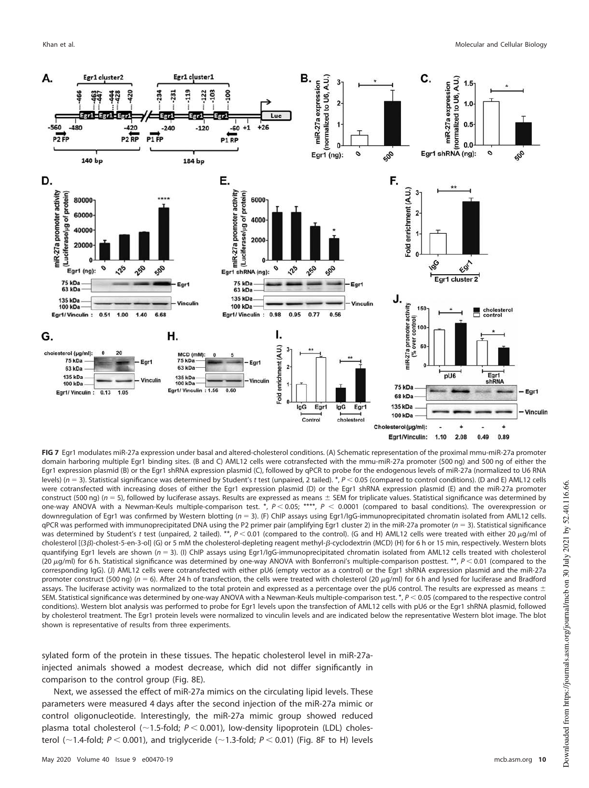

<span id="page-9-0"></span>**FIG 7** Egr1 modulates miR-27a expression under basal and altered-cholesterol conditions. (A) Schematic representation of the proximal mmu-miR-27a promoter domain harboring multiple Egr1 binding sites. (B and C) AML12 cells were cotransfected with the mmu-miR-27a promoter (500 ng) and 500 ng of either the Egr1 expression plasmid (B) or the Egr1 shRNA expression plasmid (C), followed by qPCR to probe for the endogenous levels of miR-27a (normalized to U6 RNA levels) ( $n = 3$ ). Statistical significance was determined by Student's t test (unpaired, 2 tailed). \*,  $P < 0.05$  (compared to control conditions). (D and E) AML12 cells were cotransfected with increasing doses of either the Egr1 expression plasmid (D) or the Egr1 shRNA expression plasmid (E) and the miR-27a promoter construct (500 ng) ( $n = 5$ ), followed by luciferase assays. Results are expressed as means  $\pm$  SEM for triplicate values. Statistical significance was determined by one-way ANOVA with a Newman-Keuls multiple-comparison test. \*,  $P < 0.05$ ; \*\*\*\*,  $P < 0.0001$  (compared to basal conditions). The overexpression or downregulation of Egr1 was confirmed by Western blotting ( $n = 3$ ). (F) ChIP assays using Egr1/IgG-immunoprecipitated chromatin isolated from AML12 cells. qPCR was performed with immunoprecipitated DNA using the P2 primer pair (amplifying Egr1 cluster 2) in the miR-27a promoter ( $n = 3$ ). Statistical significance was determined by Student's t test (unpaired, 2 tailed). \*\*,  $P < 0.01$  (compared to the control). (G and H) AML12 cells were treated with either 20  $\mu$ g/ml of cholesterol [(3 $\beta$ )-cholest-5-en-3-ol] (G) or 5 mM the cholesterol-depleting reagent methyl- $\beta$ -cyclodextrin (MCD) (H) for 6 h or 15 min, respectively. Western blots quantifying Egr1 levels are shown ( $n = 3$ ). (I) ChIP assays using Egr1/IgG-immunoprecipitated chromatin isolated from AML12 cells treated with cholesterol (20  $\mu$ g/ml) for 6 h. Statistical significance was determined by one-way ANOVA with Bonferroni's multiple-comparison posttest. \*\*,  $P < 0.01$  (compared to the corresponding IgG). (J) AML12 cells were cotransfected with either pU6 (empty vector as a control) or the Egr1 shRNA expression plasmid and the miR-27a promoter construct (500 ng) ( $n = 6$ ). After 24 h of transfection, the cells were treated with cholesterol (20  $\mu$ g/ml) for 6 h and lysed for luciferase and Bradford assays. The luciferase activity was normalized to the total protein and expressed as a percentage over the pU6 control. The results are expressed as means  $\pm$ SEM. Statistical significance was determined by one-way ANOVA with a Newman-Keuls multiple-comparison test.  $*$ ,  $P$  < 0.05 (compared to the respective control conditions). Western blot analysis was performed to probe for Egr1 levels upon the transfection of AML12 cells with pU6 or the Egr1 shRNA plasmid, followed by cholesterol treatment. The Egr1 protein levels were normalized to vinculin levels and are indicated below the representative Western blot image. The blot shown is representative of results from three experiments.

sylated form of the protein in these tissues. The hepatic cholesterol level in miR-27ainjected animals showed a modest decrease, which did not differ significantly in comparison to the control group [\(Fig. 8E\)](#page-10-0).

Next, we assessed the effect of miR-27a mimics on the circulating lipid levels. These parameters were measured 4 days after the second injection of the miR-27a mimic or control oligonucleotide. Interestingly, the miR-27a mimic group showed reduced plasma total cholesterol ( $\sim$ 1.5-fold;  $P < 0.001$ ), low-density lipoprotein (LDL) cholesterol ( $\sim$ 1.4-fold;  $P < 0.001$ ), and triglyceride ( $\sim$ 1.3-fold;  $P < 0.01$ ) [\(Fig. 8F](#page-10-0) to [H\)](#page-10-0) levels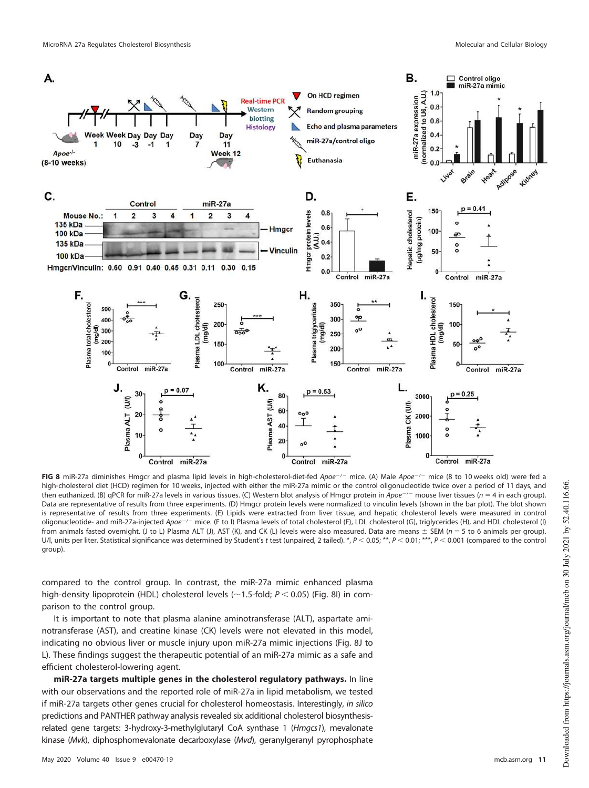

<span id="page-10-0"></span>FIG 8 miR-27a diminishes Hmgcr and plasma lipid levels in high-cholesterol-diet-fed Apoe-/- mice. (A) Male Apoe-/- mice (8 to 10 weeks old) were fed a high-cholesterol diet (HCD) regimen for 10 weeks, injected with either the miR-27a mimic or the control oligonucleotide twice over a period of 11 days, and then euthanized. (B) qPCR for miR-27a levels in various tissues. (C) Western blot analysis of Hmgcr protein in  $\overline{A}poe^{-/-}$  mouse liver tissues (n = 4 in each group). Data are representative of results from three experiments. (D) Hmgcr protein levels were normalized to vinculin levels (shown in the bar plot). The blot shown is representative of results from three experiments. (E) Lipids were extracted from liver tissue, and hepatic cholesterol levels were measured in control oligonucleotide- and miR-27a-injected Apoe<sup>-/-</sup> mice. (F to I) Plasma levels of total cholesterol (F), LDL cholesterol (G), triglycerides (H), and HDL cholesterol (I) from animals fasted overnight. (J to L) Plasma ALT (J), AST (K), and CK (L) levels were also measured. Data are means  $\pm$  SEM (n = 5 to 6 animals per group). U/l, units per liter. Statistical significance was determined by Student's t test (unpaired, 2 tailed). \*,  $P < 0.05$ ; \*\*,  $P < 0.01$ ; \*\*\*,  $P < 0.001$  (compared to the control group).

compared to the control group. In contrast, the miR-27a mimic enhanced plasma high-density lipoprotein (HDL) cholesterol levels ( $\sim$ 1.5-fold; P < 0.05) [\(Fig. 8I\)](#page-10-0) in comparison to the control group.

It is important to note that plasma alanine aminotransferase (ALT), aspartate aminotransferase (AST), and creatine kinase (CK) levels were not elevated in this model, indicating no obvious liver or muscle injury upon miR-27a mimic injections [\(Fig. 8J](#page-10-0) to [L\)](#page-10-0). These findings suggest the therapeutic potential of an miR-27a mimic as a safe and efficient cholesterol-lowering agent.

**miR-27a targets multiple genes in the cholesterol regulatory pathways.** In line with our observations and the reported role of miR-27a in lipid metabolism, we tested if miR-27a targets other genes crucial for cholesterol homeostasis. Interestingly, in silico predictions and PANTHER pathway analysis revealed six additional cholesterol biosynthesisrelated gene targets: 3-hydroxy-3-methylglutaryl CoA synthase 1 (Hmgcs1), mevalonate kinase (Mvk), diphosphomevalonate decarboxylase (Mvd), geranylgeranyl pyrophosphate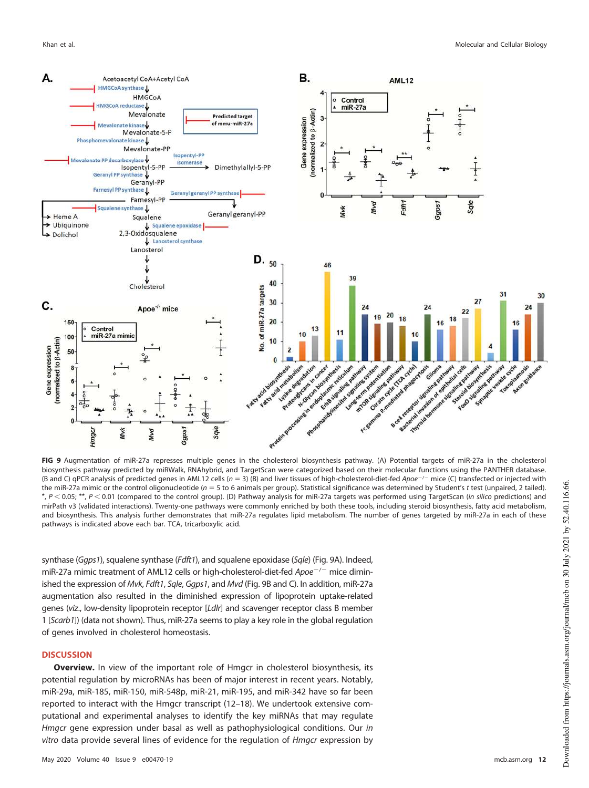

<span id="page-11-0"></span>**FIG 9** Augmentation of miR-27a represses multiple genes in the cholesterol biosynthesis pathway. (A) Potential targets of miR-27a in the cholesterol biosynthesis pathway predicted by miRWalk, RNAhybrid, and TargetScan were categorized based on their molecular functions using the PANTHER database. (B and C) qPCR analysis of predicted genes in AML12 cells ( $n = 3$ ) (B) and liver tissues of high-cholesterol-diet-fed Apoe<sup>-/-</sup> mice (C) transfected or injected with the miR-27a mimic or the control oligonucleotide ( $n = 5$  to 6 animals per group). Statistical significance was determined by Student's t test (unpaired, 2 tailed).  $*$ , P < 0.05;  $**$ , P < 0.01 (compared to the control group). (D) Pathway analysis for miR-27a targets was performed using TargetScan (in silico predictions) and mirPath v3 (validated interactions). Twenty-one pathways were commonly enriched by both these tools, including steroid biosynthesis, fatty acid metabolism, and biosynthesis. This analysis further demonstrates that miR-27a regulates lipid metabolism. The number of genes targeted by miR-27a in each of these pathways is indicated above each bar. TCA, tricarboxylic acid.

synthase (Gqps1), squalene synthase (Fdft1), and squalene epoxidase (Sqle) [\(Fig. 9A\)](#page-11-0). Indeed, miR-27a mimic treatment of AML12 cells or high-cholesterol-diet-fed Apoe<sup>-/-</sup> mice dimin-ished the expression of Mvk, Fdft1, Sale, Gaps1, and Mvd [\(Fig. 9B](#page-11-0) and [C\)](#page-11-0). In addition, miR-27a augmentation also resulted in the diminished expression of lipoprotein uptake-related genes (viz., low-density lipoprotein receptor [Ldlr] and scavenger receptor class B member 1 [Scarb1]) (data not shown). Thus, miR-27a seems to play a key role in the global regulation of genes involved in cholesterol homeostasis.

### **DISCUSSION**

**Overview.** In view of the important role of Hmgcr in cholesterol biosynthesis, its potential regulation by microRNAs has been of major interest in recent years. Notably, miR-29a, miR-185, miR-150, miR-548p, miR-21, miR-195, and miR-342 have so far been reported to interact with the Hmgcr transcript [\(12](#page-19-11)[–](#page-19-12)[18\)](#page-19-13). We undertook extensive computational and experimental analyses to identify the key miRNAs that may regulate Hmgcr gene expression under basal as well as pathophysiological conditions. Our in vitro data provide several lines of evidence for the regulation of *Hmgcr* expression by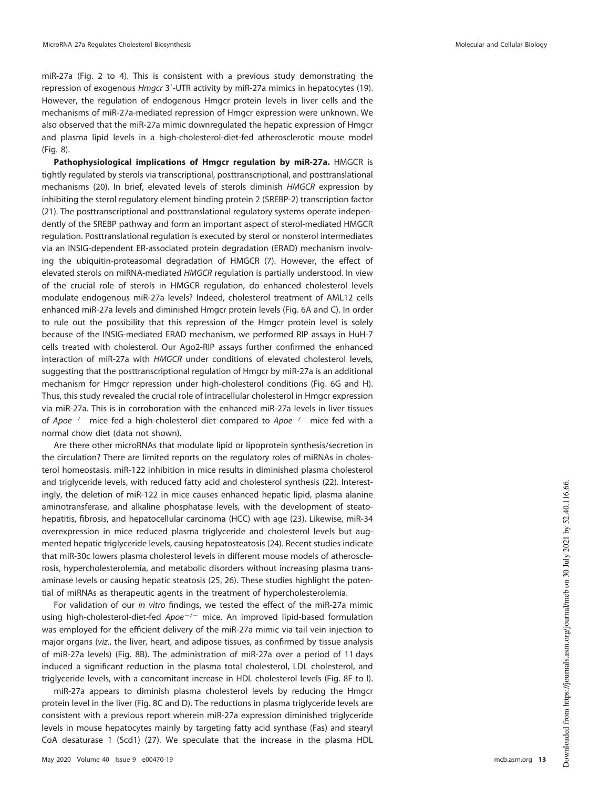miR-27a [\(Fig. 2](#page-4-0) to [4\)](#page-6-0). This is consistent with a previous study demonstrating the repression of exogenous Hmgcr 3'-UTR activity by miR-27a mimics in hepatocytes [\(19\)](#page-19-14). However, the regulation of endogenous Hmgcr protein levels in liver cells and the mechanisms of miR-27a-mediated repression of Hmgcr expression were unknown. We also observed that the miR-27a mimic downregulated the hepatic expression of Hmgcr and plasma lipid levels in a high-cholesterol-diet-fed atherosclerotic mouse model [\(Fig. 8\)](#page-10-0).

**Pathophysiological implications of Hmgcr regulation by miR-27a.** HMGCR is tightly regulated by sterols via transcriptional, posttranscriptional, and posttranslational mechanisms [\(20\)](#page-19-15). In brief, elevated levels of sterols diminish HMGCR expression by inhibiting the sterol regulatory element binding protein 2 (SREBP-2) transcription factor [\(21\)](#page-19-16). The posttranscriptional and posttranslational regulatory systems operate independently of the SREBP pathway and form an important aspect of sterol-mediated HMGCR regulation. Posttranslational regulation is executed by sterol or nonsterol intermediates via an INSIG-dependent ER-associated protein degradation (ERAD) mechanism involving the ubiquitin-proteasomal degradation of HMGCR [\(7\)](#page-19-6). However, the effect of elevated sterols on miRNA-mediated HMGCR regulation is partially understood. In view of the crucial role of sterols in HMGCR regulation, do enhanced cholesterol levels modulate endogenous miR-27a levels? Indeed, cholesterol treatment of AML12 cells enhanced miR-27a levels and diminished Hmgcr protein levels [\(Fig. 6A](#page-8-0) and [C\)](#page-8-0). In order to rule out the possibility that this repression of the Hmgcr protein level is solely because of the INSIG-mediated ERAD mechanism, we performed RIP assays in HuH-7 cells treated with cholesterol. Our Ago2-RIP assays further confirmed the enhanced interaction of miR-27a with HMGCR under conditions of elevated cholesterol levels, suggesting that the posttranscriptional regulation of Hmgcr by miR-27a is an additional mechanism for Hmgcr repression under high-cholesterol conditions [\(Fig. 6G](#page-8-0) and [H\)](#page-8-0). Thus, this study revealed the crucial role of intracellular cholesterol in Hmgcr expression via miR-27a. This is in corroboration with the enhanced miR-27a levels in liver tissues of  $Apoe^{-/-}$  mice fed a high-cholesterol diet compared to  $Apoe^{-/-}$  mice fed with a normal chow diet (data not shown).

Are there other microRNAs that modulate lipid or lipoprotein synthesis/secretion in the circulation? There are limited reports on the regulatory roles of miRNAs in cholesterol homeostasis. miR-122 inhibition in mice results in diminished plasma cholesterol and triglyceride levels, with reduced fatty acid and cholesterol synthesis [\(22\)](#page-19-17). Interestingly, the deletion of miR-122 in mice causes enhanced hepatic lipid, plasma alanine aminotransferase, and alkaline phosphatase levels, with the development of steatohepatitis, fibrosis, and hepatocellular carcinoma (HCC) with age [\(23\)](#page-20-8). Likewise, miR-34 overexpression in mice reduced plasma triglyceride and cholesterol levels but augmented hepatic triglyceride levels, causing hepatosteatosis [\(24\)](#page-20-9). Recent studies indicate that miR-30c lowers plasma cholesterol levels in different mouse models of atherosclerosis, hypercholesterolemia, and metabolic disorders without increasing plasma transaminase levels or causing hepatic steatosis [\(25,](#page-20-10) [26\)](#page-20-11). These studies highlight the potential of miRNAs as therapeutic agents in the treatment of hypercholesterolemia.

For validation of our in vitro findings, we tested the effect of the miR-27a mimic using high-cholesterol-diet-fed Apoe<sup>-/-</sup> mice. An improved lipid-based formulation was employed for the efficient delivery of the miR-27a mimic via tail vein injection to major organs (viz., the liver, heart, and adipose tissues, as confirmed by tissue analysis of miR-27a levels) [\(Fig. 8B\)](#page-10-0). The administration of miR-27a over a period of 11 days induced a significant reduction in the plasma total cholesterol, LDL cholesterol, and triglyceride levels, with a concomitant increase in HDL cholesterol levels [\(Fig. 8F](#page-10-0) to [I\)](#page-10-0).

miR-27a appears to diminish plasma cholesterol levels by reducing the Hmgcr protein level in the liver [\(Fig. 8C](#page-10-0) and [D\)](#page-10-0). The reductions in plasma triglyceride levels are consistent with a previous report wherein miR-27a expression diminished triglyceride levels in mouse hepatocytes mainly by targeting fatty acid synthase (Fas) and stearyl CoA desaturase 1 (Scd1) [\(27\)](#page-20-12). We speculate that the increase in the plasma HDL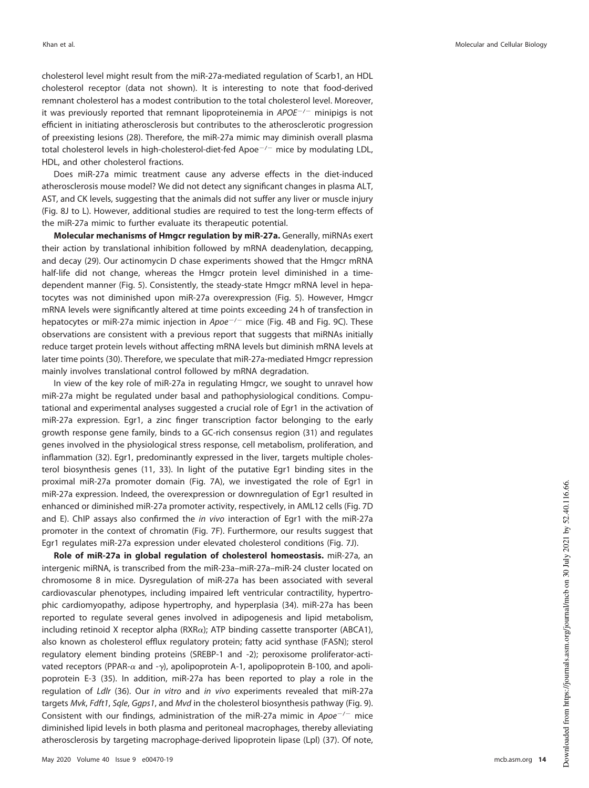cholesterol level might result from the miR-27a-mediated regulation of Scarb1, an HDL cholesterol receptor (data not shown). It is interesting to note that food-derived remnant cholesterol has a modest contribution to the total cholesterol level. Moreover, it was previously reported that remnant lipoproteinemia in  $APOE^{-/-}$  minipigs is not efficient in initiating atherosclerosis but contributes to the atherosclerotic progression of preexisting lesions [\(28\)](#page-20-13). Therefore, the miR-27a mimic may diminish overall plasma total cholesterol levels in high-cholesterol-diet-fed Apoe $^{-/-}$  mice by modulating LDL, HDL, and other cholesterol fractions.

Does miR-27a mimic treatment cause any adverse effects in the diet-induced atherosclerosis mouse model? We did not detect any significant changes in plasma ALT, AST, and CK levels, suggesting that the animals did not suffer any liver or muscle injury [\(Fig. 8J](#page-10-0) to [L\)](#page-10-0). However, additional studies are required to test the long-term effects of the miR-27a mimic to further evaluate its therapeutic potential.

**Molecular mechanisms of Hmgcr regulation by miR-27a.** Generally, miRNAs exert their action by translational inhibition followed by mRNA deadenylation, decapping, and decay [\(29\)](#page-20-14). Our actinomycin D chase experiments showed that the Hmgcr mRNA half-life did not change, whereas the Hmgcr protein level diminished in a timedependent manner [\(Fig. 5\)](#page-7-0). Consistently, the steady-state Hmgcr mRNA level in hepatocytes was not diminished upon miR-27a overexpression [\(Fig. 5\)](#page-7-0). However, Hmgcr mRNA levels were significantly altered at time points exceeding 24 h of transfection in hepatocytes or miR-27a mimic injection in  $Apoe^{-/-}$  mice [\(Fig. 4B](#page-6-0) and [Fig. 9C\)](#page-11-0). These observations are consistent with a previous report that suggests that miRNAs initially reduce target protein levels without affecting mRNA levels but diminish mRNA levels at later time points [\(30\)](#page-20-15). Therefore, we speculate that miR-27a-mediated Hmgcr repression mainly involves translational control followed by mRNA degradation.

In view of the key role of miR-27a in regulating Hmgcr, we sought to unravel how miR-27a might be regulated under basal and pathophysiological conditions. Computational and experimental analyses suggested a crucial role of Egr1 in the activation of miR-27a expression. Egr1, a zinc finger transcription factor belonging to the early growth response gene family, binds to a GC-rich consensus region [\(31\)](#page-20-16) and regulates genes involved in the physiological stress response, cell metabolism, proliferation, and inflammation [\(32\)](#page-20-17). Egr1, predominantly expressed in the liver, targets multiple cholesterol biosynthesis genes [\(11,](#page-19-10) [33\)](#page-20-18). In light of the putative Egr1 binding sites in the proximal miR-27a promoter domain [\(Fig. 7A\)](#page-9-0), we investigated the role of Egr1 in miR-27a expression. Indeed, the overexpression or downregulation of Egr1 resulted in enhanced or diminished miR-27a promoter activity, respectively, in AML12 cells [\(Fig. 7D](#page-9-0) and [E\)](#page-9-0). ChIP assays also confirmed the in vivo interaction of Egr1 with the miR-27a promoter in the context of chromatin [\(Fig. 7F\)](#page-9-0). Furthermore, our results suggest that Egr1 regulates miR-27a expression under elevated cholesterol conditions [\(Fig. 7J\)](#page-9-0).

**Role of miR-27a in global regulation of cholesterol homeostasis.** miR-27a, an intergenic miRNA, is transcribed from the miR-23a–miR-27a–miR-24 cluster located on chromosome 8 in mice. Dysregulation of miR-27a has been associated with several cardiovascular phenotypes, including impaired left ventricular contractility, hypertrophic cardiomyopathy, adipose hypertrophy, and hyperplasia [\(34\)](#page-20-19). miR-27a has been reported to regulate several genes involved in adipogenesis and lipid metabolism, including retinoid X receptor alpha ( $\text{RXR}\alpha$ ); ATP binding cassette transporter (ABCA1), also known as cholesterol efflux regulatory protein; fatty acid synthase (FASN); sterol regulatory element binding proteins (SREBP-1 and -2); peroxisome proliferator-activated receptors (PPAR- $\alpha$  and - $\gamma$ ), apolipoprotein A-1, apolipoprotein B-100, and apolipoprotein E-3 [\(35\)](#page-20-20). In addition, miR-27a has been reported to play a role in the regulation of Ldlr [\(36\)](#page-20-21). Our in vitro and in vivo experiments revealed that miR-27a targets Mvk, Fdft1, Sqle, Ggps1, and Mvd in the cholesterol biosynthesis pathway [\(Fig. 9\)](#page-11-0). Consistent with our findings, administration of the miR-27a mimic in  $Apoe^{-/-}$  mice diminished lipid levels in both plasma and peritoneal macrophages, thereby alleviating atherosclerosis by targeting macrophage-derived lipoprotein lipase (Lpl) [\(37\)](#page-20-22). Of note,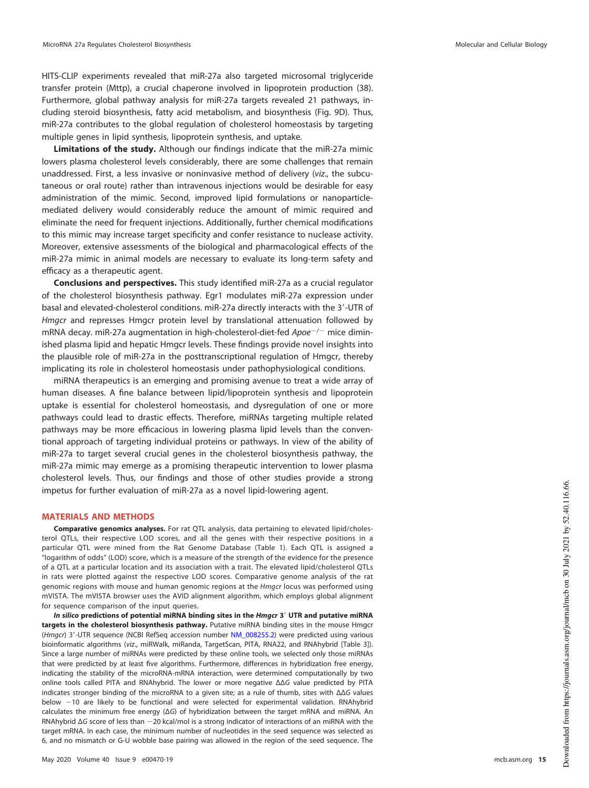HITS-CLIP experiments revealed that miR-27a also targeted microsomal triglyceride transfer protein (Mttp), a crucial chaperone involved in lipoprotein production [\(38\)](#page-20-23). Furthermore, global pathway analysis for miR-27a targets revealed 21 pathways, including steroid biosynthesis, fatty acid metabolism, and biosynthesis [\(Fig. 9D\)](#page-11-0). Thus, miR-27a contributes to the global regulation of cholesterol homeostasis by targeting multiple genes in lipid synthesis, lipoprotein synthesis, and uptake.

**Limitations of the study.** Although our findings indicate that the miR-27a mimic lowers plasma cholesterol levels considerably, there are some challenges that remain unaddressed. First, a less invasive or noninvasive method of delivery (viz., the subcutaneous or oral route) rather than intravenous injections would be desirable for easy administration of the mimic. Second, improved lipid formulations or nanoparticlemediated delivery would considerably reduce the amount of mimic required and eliminate the need for frequent injections. Additionally, further chemical modifications to this mimic may increase target specificity and confer resistance to nuclease activity. Moreover, extensive assessments of the biological and pharmacological effects of the miR-27a mimic in animal models are necessary to evaluate its long-term safety and efficacy as a therapeutic agent.

**Conclusions and perspectives.** This study identified miR-27a as a crucial regulator of the cholesterol biosynthesis pathway. Egr1 modulates miR-27a expression under basal and elevated-cholesterol conditions. miR-27a directly interacts with the 3'-UTR of Hmgcr and represses Hmgcr protein level by translational attenuation followed by mRNA decay. miR-27a augmentation in high-cholesterol-diet-fed  $Apoe^{-/}$  mice diminished plasma lipid and hepatic Hmgcr levels. These findings provide novel insights into the plausible role of miR-27a in the posttranscriptional regulation of Hmgcr, thereby implicating its role in cholesterol homeostasis under pathophysiological conditions.

miRNA therapeutics is an emerging and promising avenue to treat a wide array of human diseases. A fine balance between lipid/lipoprotein synthesis and lipoprotein uptake is essential for cholesterol homeostasis, and dysregulation of one or more pathways could lead to drastic effects. Therefore, miRNAs targeting multiple related pathways may be more efficacious in lowering plasma lipid levels than the conventional approach of targeting individual proteins or pathways. In view of the ability of miR-27a to target several crucial genes in the cholesterol biosynthesis pathway, the miR-27a mimic may emerge as a promising therapeutic intervention to lower plasma cholesterol levels. Thus, our findings and those of other studies provide a strong impetus for further evaluation of miR-27a as a novel lipid-lowering agent.

#### **MATERIALS AND METHODS**

**Comparative genomics analyses.** For rat QTL analysis, data pertaining to elevated lipid/cholesterol QTLs, their respective LOD scores, and all the genes with their respective positions in a particular QTL were mined from the Rat Genome Database [\(Table 1\)](#page-3-0). Each QTL is assigned a "logarithm of odds" (LOD) score, which is a measure of the strength of the evidence for the presence of a QTL at a particular location and its association with a trait. The elevated lipid/cholesterol QTLs in rats were plotted against the respective LOD scores. Comparative genome analysis of the rat genomic regions with mouse and human genomic regions at the *Hmgcr* locus was performed using mVISTA. The mVISTA browser uses the AVID alignment algorithm, which employs global alignment for sequence comparison of the input queries.

**In silico predictions of potential miRNA binding sites in the Hmgcr 3**= **UTR and putative miRNA targets in the cholesterol biosynthesis pathway.** Putative miRNA binding sites in the mouse Hmgcr (Hmgcr) 3'-UTR sequence (NCBI RefSeq accession number NM\_008255.2) were predicted using various bioinformatic algorithms (viz., miRWalk, miRanda, TargetScan, PITA, RNA22, and RNAhybrid [\[Table 3\]](#page-4-1)). Since a large number of miRNAs were predicted by these online tools, we selected only those miRNAs that were predicted by at least five algorithms. Furthermore, differences in hybridization free energy, indicating the stability of the microRNA-mRNA interaction, were determined computationally by two online tools called PITA and RNAhybrid. The lower or more negative ΔΔG value predicted by PITA indicates stronger binding of the microRNA to a given site; as a rule of thumb, sites with ΔΔG values below -10 are likely to be functional and were selected for experimental validation. RNAhybrid calculates the minimum free energy (ΔG) of hybridization between the target mRNA and miRNA. An RNAhybrid ΔG score of less than -20 kcal/mol is a strong indicator of interactions of an miRNA with the target mRNA. In each case, the minimum number of nucleotides in the seed sequence was selected as 6, and no mismatch or G-U wobble base pairing was allowed in the region of the seed sequence. The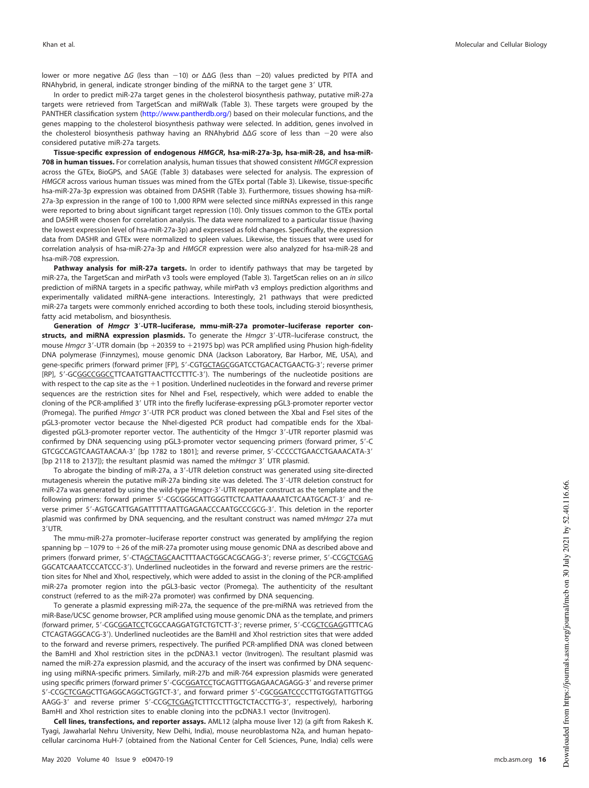lower or more negative ΔG (less than -10) or ΔΔG (less than -20) values predicted by PITA and RNAhybrid, in general, indicate stronger binding of the miRNA to the target gene 3' UTR.

In order to predict miR-27a target genes in the cholesterol biosynthesis pathway, putative miR-27a targets were retrieved from TargetScan and miRWalk [\(Table 3\)](#page-4-1). These targets were grouped by the PANTHER classification system (http://www.pantherdb.org/) based on their molecular functions, and the genes mapping to the cholesterol biosynthesis pathway were selected. In addition, genes involved in the cholesterol biosynthesis pathway having an RNAhybrid  $ΔΔG$  score of less than -20 were also considered putative miR-27a targets.

**Tissue-specific expression of endogenous HMGCR, hsa-miR-27a-3p, hsa-miR-28, and hsa-miR-708 in human tissues.** For correlation analysis, human tissues that showed consistent HMGCR expression across the GTEx, BioGPS, and SAGE [\(Table 3\)](#page-4-1) databases were selected for analysis. The expression of HMGCR across various human tissues was mined from the GTEx portal [\(Table 3\)](#page-4-1). Likewise, tissue-specific hsa-miR-27a-3p expression was obtained from DASHR [\(Table 3\)](#page-4-1). Furthermore, tissues showing hsa-miR-27a-3p expression in the range of 100 to 1,000 RPM were selected since miRNAs expressed in this range were reported to bring about significant target repression [\(10\)](#page-19-9). Only tissues common to the GTEx portal and DASHR were chosen for correlation analysis. The data were normalized to a particular tissue (having the lowest expression level of hsa-miR-27a-3p) and expressed as fold changes. Specifically, the expression data from DASHR and GTEx were normalized to spleen values. Likewise, the tissues that were used for correlation analysis of hsa-miR-27a-3p and HMGCR expression were also analyzed for hsa-miR-28 and hsa-miR-708 expression.

**Pathway analysis for miR-27a targets.** In order to identify pathways that may be targeted by miR-27a, the TargetScan and mirPath v3 tools were employed [\(Table 3\)](#page-4-1). TargetScan relies on an in silico prediction of miRNA targets in a specific pathway, while mirPath v3 employs prediction algorithms and experimentally validated miRNA-gene interactions. Interestingly, 21 pathways that were predicted miR-27a targets were commonly enriched according to both these tools, including steroid biosynthesis, fatty acid metabolism, and biosynthesis.

Generation of *Hmgcr* 3'-UTR-luciferase, mmu-miR-27a promoter-luciferase reporter constructs, and miRNA expression plasmids. To generate the *Hmgcr* 3'-UTR-luciferase construct, the mouse Hmgcr 3'-UTR domain (bp +20359 to +21975 bp) was PCR amplified using Phusion high-fidelity DNA polymerase (Finnzymes), mouse genomic DNA (Jackson Laboratory, Bar Harbor, ME, USA), and gene-specific primers (forward primer [FP], 5'-CGTGCTAGCGGATCCTGACACTGAACTG-3'; reverse primer [RP], 5'-GCGGCCGGCCTTCAATGTTAACTTCCTTTC-3'). The numberings of the nucleotide positions are with respect to the cap site as the  $+1$  position. Underlined nucleotides in the forward and reverse primer sequences are the restriction sites for NheI and FseI, respectively, which were added to enable the cloning of the PCR-amplified 3' UTR into the firefly luciferase-expressing pGL3-promoter reporter vector (Promega). The purified *Hmgcr* 3'-UTR PCR product was cloned between the XbaI and FseI sites of the pGL3-promoter vector because the Nhel-digested PCR product had compatible ends for the Xbaldigested pGL3-promoter reporter vector. The authenticity of the Hmgcr 3'-UTR reporter plasmid was confirmed by DNA sequencing using pGL3-promoter vector sequencing primers (forward primer, 5'-C GTCGCCAGTCAAGTAACAA-3' [bp 1782 to 1801]; and reverse primer, 5'-CCCCCTGAACCTGAAACATA-3' [bp 2118 to 2137]); the resultant plasmid was named the mHmgcr 3' UTR plasmid.

To abrogate the binding of miR-27a, a 3'-UTR deletion construct was generated using site-directed mutagenesis wherein the putative miR-27a binding site was deleted. The 3'-UTR deletion construct for miR-27a was generated by using the wild-type Hmgcr-3'-UTR reporter construct as the template and the following primers: forward primer 5'-CGCGGGCATTGGGTTCTCAATTAAAAATCTCAATGCACT-3' and reverse primer 5'-AGTGCATTGAGATTTTTAATTGAGAACCCAATGCCCGCG-3'. This deletion in the reporter plasmid was confirmed by DNA sequencing, and the resultant construct was named mHmgcr 27a mut 3'UTR.

The mmu-miR-27a promoter–luciferase reporter construct was generated by amplifying the region spanning bp  $-1079$  to  $+26$  of the miR-27a promoter using mouse genomic DNA as described above and primers (forward primer, 5'-CTAGCTAGCAACTTTAACTGGCACGCAGG-3'; reverse primer, 5'-CCGCTCGAG GGCATCAAATCCCATCCC-3'). Underlined nucleotides in the forward and reverse primers are the restriction sites for NheI and XhoI, respectively, which were added to assist in the cloning of the PCR-amplified miR-27a promoter region into the pGL3-basic vector (Promega). The authenticity of the resultant construct (referred to as the miR-27a promoter) was confirmed by DNA sequencing.

To generate a plasmid expressing miR-27a, the sequence of the pre-miRNA was retrieved from the miR-Base/UCSC genome browser, PCR amplified using mouse genomic DNA as the template, and primers (forward primer, 5'-CGCGGATCCTCGCCAAGGATGTCTGTCTT-3'; reverse primer, 5'-CCGCTCGAGGTTTCAG CTCAGTAGGCACG-3'). Underlined nucleotides are the BamHI and XhoI restriction sites that were added to the forward and reverse primers, respectively. The purified PCR-amplified DNA was cloned between the BamHI and XhoI restriction sites in the pcDNA3.1 vector (Invitrogen). The resultant plasmid was named the miR-27a expression plasmid, and the accuracy of the insert was confirmed by DNA sequencing using miRNA-specific primers. Similarly, miR-27b and miR-764 expression plasmids were generated using specific primers (forward primer 5'-CGCGGATCCTGCAGTTTGGAGAACAGAGG-3' and reverse primer 5'-CCGCTCGAGCTTGAGGCAGGCTGGTCT-3', and forward primer 5'-CGCGGATCCCCTTGTGGTATTGTTGG AAGG-3' and reverse primer 5'-CCGCTCGAGTCTTTCCTTTGCTCTACCTTG-3', respectively), harboring BamHI and XhoI restriction sites to enable cloning into the pcDNA3.1 vector (Invitrogen).

**Cell lines, transfections, and reporter assays.** AML12 (alpha mouse liver 12) (a gift from Rakesh K. Tyagi, Jawaharlal Nehru University, New Delhi, India), mouse neuroblastoma N2a, and human hepatocellular carcinoma HuH-7 (obtained from the National Center for Cell Sciences, Pune, India) cells were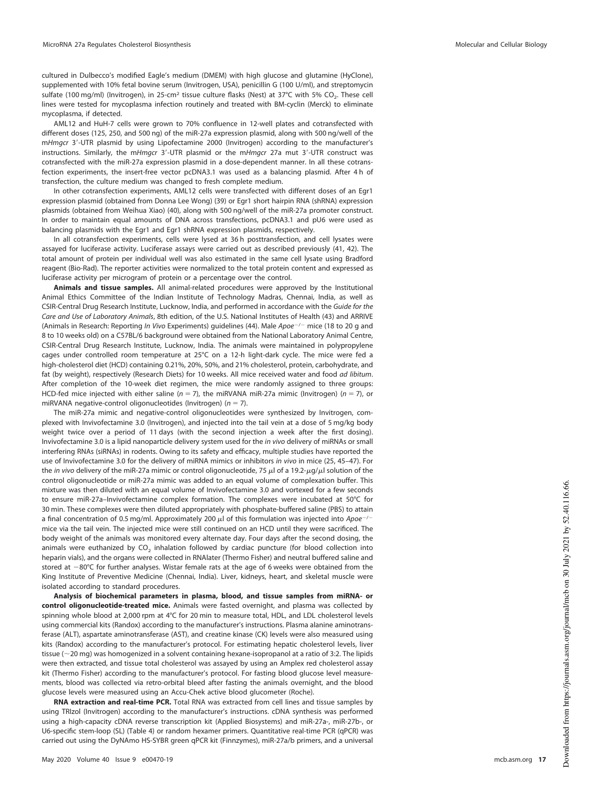cultured in Dulbecco's modified Eagle's medium (DMEM) with high glucose and glutamine (HyClone), supplemented with 10% fetal bovine serum (Invitrogen, USA), penicillin G (100 U/ml), and streptomycin sulfate (100 mg/ml) (Invitrogen), in 25-cm<sup>2</sup> tissue culture flasks (Nest) at 37°C with 5% CO<sub>2</sub>. These cell lines were tested for mycoplasma infection routinely and treated with BM-cyclin (Merck) to eliminate mycoplasma, if detected.

AML12 and HuH-7 cells were grown to 70% confluence in 12-well plates and cotransfected with different doses (125, 250, and 500 ng) of the miR-27a expression plasmid, along with 500 ng/well of the mHmgcr 3'-UTR plasmid by using Lipofectamine 2000 (Invitrogen) according to the manufacturer's instructions. Similarly, the mHmgcr 3'-UTR plasmid or the mHmgcr 27a mut 3'-UTR construct was cotransfected with the miR-27a expression plasmid in a dose-dependent manner. In all these cotransfection experiments, the insert-free vector pcDNA3.1 was used as a balancing plasmid. After 4 h of transfection, the culture medium was changed to fresh complete medium.

In other cotransfection experiments, AML12 cells were transfected with different doses of an Egr1 expression plasmid (obtained from Donna Lee Wong) [\(39\)](#page-20-24) or Egr1 short hairpin RNA (shRNA) expression plasmids (obtained from Weihua Xiao) [\(40\)](#page-20-4), along with 500 ng/well of the miR-27a promoter construct. In order to maintain equal amounts of DNA across transfections, pcDNA3.1 and pU6 were used as balancing plasmids with the Egr1 and Egr1 shRNA expression plasmids, respectively.

In all cotransfection experiments, cells were lysed at 36 h posttransfection, and cell lysates were assayed for luciferase activity. Luciferase assays were carried out as described previously [\(41,](#page-20-25) [42\)](#page-20-26). The total amount of protein per individual well was also estimated in the same cell lysate using Bradford reagent (Bio-Rad). The reporter activities were normalized to the total protein content and expressed as luciferase activity per microgram of protein or a percentage over the control.

**Animals and tissue samples.** All animal-related procedures were approved by the Institutional Animal Ethics Committee of the Indian Institute of Technology Madras, Chennai, India, as well as CSIR-Central Drug Research Institute, Lucknow, India, and performed in accordance with the Guide for the Care and Use of Laboratory Animals, 8th edition, of the U.S. National Institutes of Health [\(43\)](#page-20-27) and ARRIVE (Animals in Research: Reporting *In Vivo* Experiments) guidelines [\(44\)](#page-20-28). Male Apoe<sup>-/-</sup> mice (18 to 20 g and 8 to 10 weeks old) on a C57BL/6 background were obtained from the National Laboratory Animal Centre, CSIR-Central Drug Research Institute, Lucknow, India. The animals were maintained in polypropylene cages under controlled room temperature at 25°C on a 12-h light-dark cycle. The mice were fed a high-cholesterol diet (HCD) containing 0.21%, 20%, 50%, and 21% cholesterol, protein, carbohydrate, and fat (by weight), respectively (Research Diets) for 10 weeks. All mice received water and food ad libitum. After completion of the 10-week diet regimen, the mice were randomly assigned to three groups: HCD-fed mice injected with either saline ( $n = 7$ ), the miRVANA miR-27a mimic (Invitrogen) ( $n = 7$ ), or miRVANA negative-control oligonucleotides (Invitrogen) ( $n = 7$ ).

The miR-27a mimic and negative-control oligonucleotides were synthesized by Invitrogen, complexed with Invivofectamine 3.0 (Invitrogen), and injected into the tail vein at a dose of 5 mg/kg body weight twice over a period of 11 days (with the second injection a week after the first dosing). Invivofectamine 3.0 is a lipid nanoparticle delivery system used for the in vivo delivery of miRNAs or small interfering RNAs (siRNAs) in rodents. Owing to its safety and efficacy, multiple studies have reported the use of Invivofectamine 3.0 for the delivery of miRNA mimics or inhibitors in vivo in mice [\(25,](#page-20-10) [45](#page-20-29)[–](#page-20-30)[47\)](#page-20-31). For the *in vivo* delivery of the miR-27a mimic or control oligonucleotide, 75  $\mu$ l of a 19.2- $\mu$ g/ $\mu$ l solution of the control oligonucleotide or miR-27a mimic was added to an equal volume of complexation buffer. This mixture was then diluted with an equal volume of Invivofectamine 3.0 and vortexed for a few seconds to ensure miR-27a-Invivofectamine complex formation. The complexes were incubated at 50°C for 30 min. These complexes were then diluted appropriately with phosphate-buffered saline (PBS) to attain a final concentration of 0.5 mg/ml. Approximately 200  $\mu$ l of this formulation was injected into Apoe<sup>-/-</sup> mice via the tail vein. The injected mice were still continued on an HCD until they were sacrificed. The body weight of the animals was monitored every alternate day. Four days after the second dosing, the animals were euthanized by CO<sub>2</sub> inhalation followed by cardiac puncture (for blood collection into heparin vials), and the organs were collected in RNAlater (Thermo Fisher) and neutral buffered saline and stored at -80°C for further analyses. Wistar female rats at the age of 6 weeks were obtained from the King Institute of Preventive Medicine (Chennai, India). Liver, kidneys, heart, and skeletal muscle were isolated according to standard procedures.

**Analysis of biochemical parameters in plasma, blood, and tissue samples from miRNA- or control oligonucleotide-treated mice.** Animals were fasted overnight, and plasma was collected by spinning whole blood at 2,000 rpm at 4°C for 20 min to measure total, HDL, and LDL cholesterol levels using commercial kits (Randox) according to the manufacturer's instructions. Plasma alanine aminotransferase (ALT), aspartate aminotransferase (AST), and creatine kinase (CK) levels were also measured using kits (Randox) according to the manufacturer's protocol. For estimating hepatic cholesterol levels, liver tissue ( $\sim$ 20 mg) was homogenized in a solvent containing hexane-isopropanol at a ratio of 3:2. The lipids were then extracted, and tissue total cholesterol was assayed by using an Amplex red cholesterol assay kit (Thermo Fisher) according to the manufacturer's protocol. For fasting blood glucose level measurements, blood was collected via retro-orbital bleed after fasting the animals overnight, and the blood glucose levels were measured using an Accu-Chek active blood glucometer (Roche).

**RNA extraction and real-time PCR.** Total RNA was extracted from cell lines and tissue samples by using TRIzol (Invitrogen) according to the manufacturer's instructions. cDNA synthesis was performed using a high-capacity cDNA reverse transcription kit (Applied Biosystems) and miR-27a-, miR-27b-, or U6-specific stem-loop (SL) [\(Table 4\)](#page-17-0) or random hexamer primers. Quantitative real-time PCR (qPCR) was carried out using the DyNAmo HS-SYBR green qPCR kit (Finnzymes), miR-27a/b primers, and a universal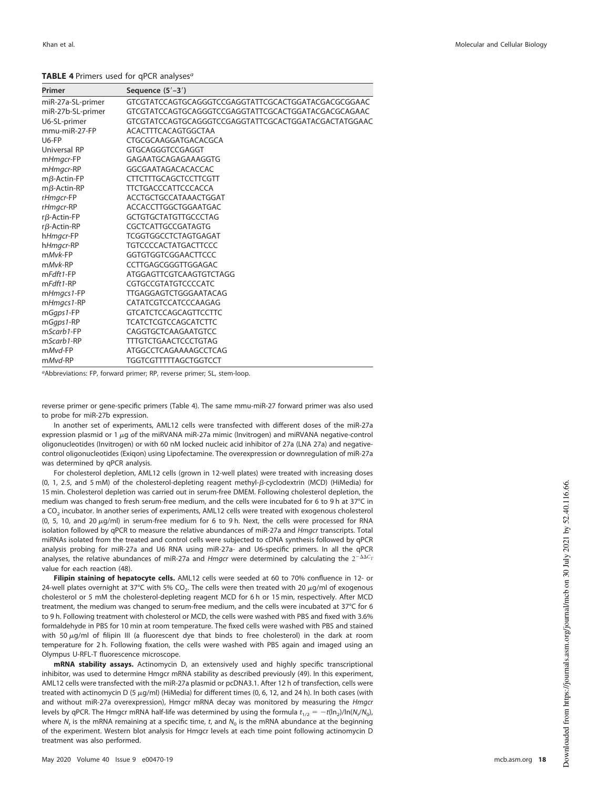| Primer             | Sequence $(5'-3')$                                   |
|--------------------|------------------------------------------------------|
| miR-27a-SL-primer  | GTCGTATCCAGTGCAGGGTCCGAGGTATTCGCACTGGATACGACGCGGAAC  |
| miR-27b-SL-primer  | GTCGTATCCAGTGCAGGGTCCGAGGTATTCGCACTGGATACGACGCAGAAC  |
| U6-SL-primer       | GTCGTATCCAGTGCAGGGTCCGAGGTATTCGCACTGGATACGACTATGGAAC |
| mmu-miR-27-FP      | ACACTTTCACAGTGGCTAA                                  |
| $U6-FP$            | CTGCGCAAGGATGACACGCA                                 |
| Universal RP       | GTGCAGGGTCCGAGGT                                     |
| mHmgcr-FP          | GAGAATGCAGAGAAAGGTG                                  |
| mHmgcr-RP          | GGCGAATAGACACACCAC                                   |
| $m\beta$ -Actin-FP | <b>CTTCTTTGCAGCTCCTTCGTT</b>                         |
| $m\beta$ -Actin-RP | TTCTGACCCATTCCCACCA                                  |
| rHmgcr-FP          | ACCTGCTGCCATAAACTGGAT                                |
| rHmgcr-RP          | ACCACCTTGGCTGGAATGAC                                 |
| $r\beta$ -Actin-FP | <b>GCTGTGCTATGTTGCCCTAG</b>                          |
| $r\beta$ -Actin-RP | CGCTCATTGCCGATAGTG                                   |
| hHmgcr-FP          | TCGGTGGCCTCTAGTGAGAT                                 |
| h <i>Hmgcr-RP</i>  | <b>TGTCCCCACTATGACTTCCC</b>                          |
| mMvk-FP            | GGTGTGGTCGGAACTTCCC                                  |
| $mMvk$ -RP         | CCTTGAGCGGGTTGGAGAC                                  |
| $mFdft1-FP$        | ATGGAGTTCGTCAAGTGTCTAGG                              |
| $mFdft1-RP$        | CGTGCCGTATGTCCCCATC                                  |
| mHmgcs1-FP         | TTGAGGAGTCTGGGAATACAG                                |
| mHmgcs1-RP         | CATATCGTCCATCCCAAGAG                                 |
| mGqps1-FP          | <b>GTCATCTCCAGCAGTTCCTTC</b>                         |
| mGqps1-RP          | <b>TCATCTCGTCCAGCATCTTC</b>                          |
| mScarb1-FP         | CAGGTGCTCAAGAATGTCC                                  |
| mScarb1-RP         | TTTGTCTGAACTCCCTGTAG                                 |
| mMvd-FP            | ATGGCCTCAGAAAAGCCTCAG                                |
| mMvd-RP            | <b>TGGTCGTTTTTAGCTGGTCCT</b>                         |

<span id="page-17-0"></span>**TABLE 4** Primers used for qPCR analyses<sup>a</sup>

aAbbreviations: FP, forward primer; RP, reverse primer; SL, stem-loop.

reverse primer or gene-specific primers [\(Table 4\)](#page-17-0). The same mmu-miR-27 forward primer was also used to probe for miR-27b expression.

In another set of experiments, AML12 cells were transfected with different doses of the miR-27a expression plasmid or 1  $\mu$ g of the miRVANA miR-27a mimic (Invitrogen) and miRVANA negative-control oligonucleotides (Invitrogen) or with 60 nM locked nucleic acid inhibitor of 27a (LNA 27a) and negativecontrol oligonucleotides (Exiqon) using Lipofectamine. The overexpression or downregulation of miR-27a was determined by qPCR analysis.

For cholesterol depletion, AML12 cells (grown in 12-well plates) were treated with increasing doses (0, 1, 2.5, and 5 mM) of the cholesterol-depleting reagent methyl- $\beta$ -cyclodextrin (MCD) (HiMedia) for 15 min. Cholesterol depletion was carried out in serum-free DMEM. Following cholesterol depletion, the medium was changed to fresh serum-free medium, and the cells were incubated for 6 to 9 h at 37°C in a CO $_2$  incubator. In another series of experiments, AML12 cells were treated with exogenous cholesterol (0, 5, 10, and 20  $\mu$ g/ml) in serum-free medium for 6 to 9 h. Next, the cells were processed for RNA isolation followed by qPCR to measure the relative abundances of miR-27a and Hmgcr transcripts. Total miRNAs isolated from the treated and control cells were subjected to cDNA synthesis followed by qPCR analysis probing for miR-27a and U6 RNA using miR-27a- and U6-specific primers. In all the qPCR analyses, the relative abundances of miR-27a and *Hmgcr* were determined by calculating the  $2^{-\Delta\Delta C_T}$ value for each reaction [\(48\)](#page-20-32).

**Filipin staining of hepatocyte cells.** AML12 cells were seeded at 60 to 70% confluence in 12- or 24-well plates overnight at 37°C with 5% CO<sub>2</sub>. The cells were then treated with 20  $\mu$ g/ml of exogenous cholesterol or 5 mM the cholesterol-depleting reagent MCD for 6 h or 15 min, respectively. After MCD treatment, the medium was changed to serum-free medium, and the cells were incubated at 37°C for 6 to 9 h. Following treatment with cholesterol or MCD, the cells were washed with PBS and fixed with 3.6% formaldehyde in PBS for 10 min at room temperature. The fixed cells were washed with PBS and stained with 50  $\mu$ g/ml of filipin III (a fluorescent dye that binds to free cholesterol) in the dark at room temperature for 2 h. Following fixation, the cells were washed with PBS again and imaged using an Olympus U-RFL-T fluorescence microscope.

**mRNA stability assays.** Actinomycin D, an extensively used and highly specific transcriptional inhibitor, was used to determine Hmgcr mRNA stability as described previously [\(49\)](#page-20-33). In this experiment, AML12 cells were transfected with the miR-27a plasmid or pcDNA3.1. After 12 h of transfection, cells were treated with actinomycin D (5 µg/ml) (HiMedia) for different times (0, 6, 12, and 24 h). In both cases (with and without miR-27a overexpression), Hmgcr mRNA decay was monitored by measuring the Hmgcr levels by qPCR. The Hmgcr mRNA half-life was determined by using the formula  $t_{1/2} = -t(\ln_2)/\ln(N_t/N_0)$ , where  $N_t$  is the mRNA remaining at a specific time, t, and  $N_0$  is the mRNA abundance at the beginning of the experiment. Western blot analysis for Hmgcr levels at each time point following actinomycin D treatment was also performed.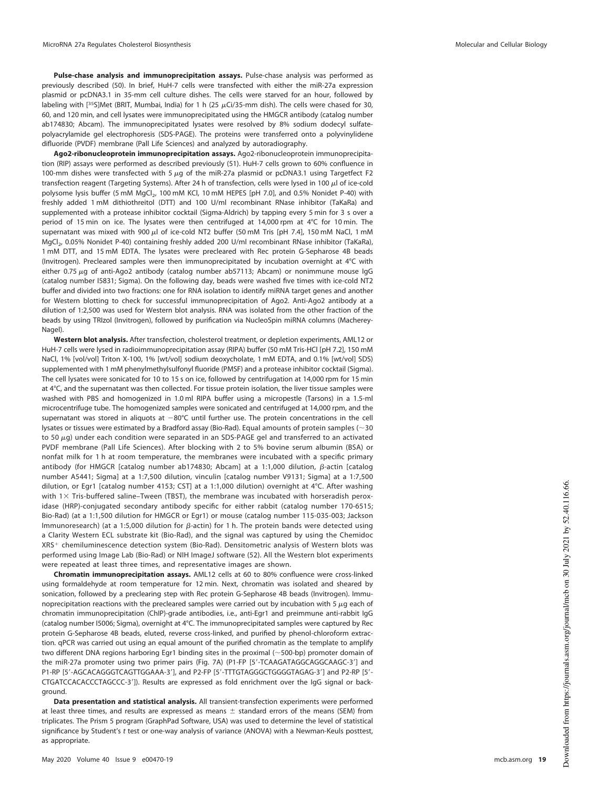**Pulse-chase analysis and immunoprecipitation assays.** Pulse-chase analysis was performed as previously described [\(50\)](#page-20-34). In brief, HuH-7 cells were transfected with either the miR-27a expression plasmid or pcDNA3.1 in 35-mm cell culture dishes. The cells were starved for an hour, followed by labeling with [<sup>35</sup>S]Met (BRIT, Mumbai, India) for 1 h (25  $\mu$ Ci/35-mm dish). The cells were chased for 30, 60, and 120 min, and cell lysates were immunoprecipitated using the HMGCR antibody (catalog number ab174830; Abcam). The immunoprecipitated lysates were resolved by 8% sodium dodecyl sulfatepolyacrylamide gel electrophoresis (SDS-PAGE). The proteins were transferred onto a polyvinylidene difluoride (PVDF) membrane (Pall Life Sciences) and analyzed by autoradiography.

**Ago2-ribonucleoprotein immunoprecipitation assays.** Ago2-ribonucleoprotein immunoprecipitation (RIP) assays were performed as described previously [\(51\)](#page-20-35). HuH-7 cells grown to 60% confluence in 100-mm dishes were transfected with 5  $\mu$ g of the miR-27a plasmid or pcDNA3.1 using Targetfect F2 transfection reagent (Targeting Systems). After 24 h of transfection, cells were lysed in 100  $\mu$ l of ice-cold polysome lysis buffer (5 mM  $MgCl<sub>2</sub>$ , 100 mM KCl, 10 mM HEPES [pH 7.0], and 0.5% Nonidet P-40) with freshly added 1 mM dithiothreitol (DTT) and 100 U/ml recombinant RNase inhibitor (TaKaRa) and supplemented with a protease inhibitor cocktail (Sigma-Aldrich) by tapping every 5 min for 3 s over a period of 15 min on ice. The lysates were then centrifuged at 14,000 rpm at 4°C for 10 min. The supernatant was mixed with 900  $\mu$ l of ice-cold NT2 buffer (50 mM Tris [pH 7.4], 150 mM NaCl, 1 mM MgCl<sup>2</sup> , 0.05% Nonidet P-40) containing freshly added 200 U/ml recombinant RNase inhibitor (TaKaRa), 1 mM DTT, and 15 mM EDTA. The lysates were precleared with Rec protein G-Sepharose 4B beads (Invitrogen). Precleared samples were then immunoprecipitated by incubation overnight at 4°C with either 0.75  $\mu$ g of anti-Ago2 antibody (catalog number ab57113; Abcam) or nonimmune mouse IgG (catalog number I5831; Sigma). On the following day, beads were washed five times with ice-cold NT2 buffer and divided into two fractions: one for RNA isolation to identify miRNA target genes and another for Western blotting to check for successful immunoprecipitation of Ago2. Anti-Ago2 antibody at a dilution of 1:2,500 was used for Western blot analysis. RNA was isolated from the other fraction of the beads by using TRIzol (Invitrogen), followed by purification via NucleoSpin miRNA columns (Macherey-Nagel).

**Western blot analysis.** After transfection, cholesterol treatment, or depletion experiments, AML12 or HuH-7 cells were lysed in radioimmunoprecipitation assay (RIPA) buffer (50 mM Tris-HCl [pH 7.2], 150 mM NaCl, 1% [vol/vol] Triton X-100, 1% [wt/vol] sodium deoxycholate, 1 mM EDTA, and 0.1% [wt/vol] SDS) supplemented with 1 mM phenylmethylsulfonyl fluoride (PMSF) and a protease inhibitor cocktail (Sigma). The cell lysates were sonicated for 10 to 15 s on ice, followed by centrifugation at 14,000 rpm for 15 min at 4°C, and the supernatant was then collected. For tissue protein isolation, the liver tissue samples were washed with PBS and homogenized in 1.0 ml RIPA buffer using a micropestle (Tarsons) in a 1.5-ml microcentrifuge tube. The homogenized samples were sonicated and centrifuged at 14,000 rpm, and the supernatant was stored in aliquots at  $-80^{\circ}$ C until further use. The protein concentrations in the cell lysates or tissues were estimated by a Bradford assay (Bio-Rad). Equal amounts of protein samples ( $\sim$ 30 to 50  $\mu$ g) under each condition were separated in an SDS-PAGE gel and transferred to an activated PVDF membrane (Pall Life Sciences). After blocking with 2 to 5% bovine serum albumin (BSA) or nonfat milk for 1 h at room temperature, the membranes were incubated with a specific primary antibody (for HMGCR [catalog number ab174830; Abcam] at a 1:1,000 dilution,  $\beta$ -actin [catalog number A5441; Sigma] at a 1:7,500 dilution, vinculin [catalog number V9131; Sigma] at a 1:7,500 dilution, or Egr1 [catalog number 4153; CST] at a 1:1,000 dilution) overnight at 4°C. After washing with  $1\times$  Tris-buffered saline–Tween (TBST), the membrane was incubated with horseradish peroxidase (HRP)-conjugated secondary antibody specific for either rabbit (catalog number 170-6515; Bio-Rad) (at a 1:1,500 dilution for HMGCR or Egr1) or mouse (catalog number 115-035-003; Jackson Immunoresearch) (at a 1:5,000 dilution for  $\beta$ -actin) for 1 h. The protein bands were detected using a Clarity Western ECL substrate kit (Bio-Rad), and the signal was captured by using the Chemidoc XRS<sup>+</sup> chemiluminescence detection system (Bio-Rad). Densitometric analysis of Western blots was performed using Image Lab (Bio-Rad) or NIH ImageJ software [\(52\)](#page-20-36). All the Western blot experiments were repeated at least three times, and representative images are shown.

**Chromatin immunoprecipitation assays.** AML12 cells at 60 to 80% confluence were cross-linked using formaldehyde at room temperature for 12 min. Next, chromatin was isolated and sheared by sonication, followed by a preclearing step with Rec protein G-Sepharose 4B beads (Invitrogen). Immunoprecipitation reactions with the precleared samples were carried out by incubation with 5  $\mu$ g each of chromatin immunoprecipitation (ChIP)-grade antibodies, i.e., anti-Egr1 and preimmune anti-rabbit IgG (catalog number I5006; Sigma), overnight at 4°C. The immunoprecipitated samples were captured by Rec protein G-Sepharose 4B beads, eluted, reverse cross-linked, and purified by phenol-chloroform extraction. qPCR was carried out using an equal amount of the purified chromatin as the template to amplify two different DNA regions harboring Egr1 binding sites in the proximal (~500-bp) promoter domain of the miR-27a promoter using two primer pairs [\(Fig. 7A\)](#page-9-0) (P1-FP [5'-TCAAGATAGGCAGGCAAGC-3'] and P1-RP [5'-AGCACAGGGTCAGTTGGAAA-3'], and P2-FP [5'-TTTGTAGGGCTGGGGTAGAG-3'] and P2-RP [5'-CTGATCCACACCCTAGCCC-3']). Results are expressed as fold enrichment over the IgG signal or background.

**Data presentation and statistical analysis.** All transient-transfection experiments were performed at least three times, and results are expressed as means  $\pm$  standard errors of the means (SEM) from triplicates. The Prism 5 program (GraphPad Software, USA) was used to determine the level of statistical significance by Student's t test or one-way analysis of variance (ANOVA) with a Newman-Keuls posttest, as appropriate.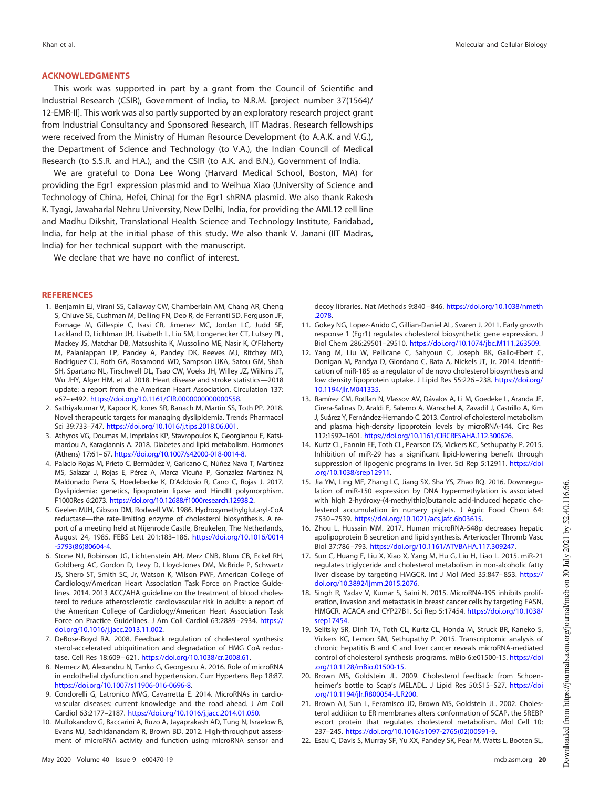## **ACKNOWLEDGMENTS**

This work was supported in part by a grant from the Council of Scientific and Industrial Research (CSIR), Government of India, to N.R.M. [project number 37(1564)/ 12-EMR-II]. This work was also partly supported by an exploratory research project grant from Industrial Consultancy and Sponsored Research, IIT Madras. Research fellowships were received from the Ministry of Human Resource Development (to A.A.K. and V.G.), the Department of Science and Technology (to V.A.), the Indian Council of Medical Research (to S.S.R. and H.A.), and the CSIR (to A.K. and B.N.), Government of India.

We are grateful to Dona Lee Wong (Harvard Medical School, Boston, MA) for providing the Egr1 expression plasmid and to Weihua Xiao (University of Science and Technology of China, Hefei, China) for the Egr1 shRNA plasmid. We also thank Rakesh K. Tyagi, Jawaharlal Nehru University, New Delhi, India, for providing the AML12 cell line and Madhu Dikshit, Translational Health Science and Technology Institute, Faridabad, India, for help at the initial phase of this study. We also thank V. Janani (IIT Madras, India) for her technical support with the manuscript.

We declare that we have no conflict of interest.

#### <span id="page-19-0"></span>**REFERENCES**

- 1. Benjamin EJ, Virani SS, Callaway CW, Chamberlain AM, Chang AR, Cheng S, Chiuve SE, Cushman M, Delling FN, Deo R, de Ferranti SD, Ferguson JF, Fornage M, Gillespie C, Isasi CR, Jimenez MC, Jordan LC, Judd SE, Lackland D, Lichtman JH, Lisabeth L, Liu SM, Longenecker CT, Lutsey PL, Mackey JS, Matchar DB, Matsushita K, Mussolino ME, Nasir K, O'Flaherty M, Palaniappan LP, Pandey A, Pandey DK, Reeves MJ, Ritchey MD, Rodriguez CJ, Roth GA, Rosamond WD, Sampson UKA, Satou GM, Shah SH, Spartano NL, Tirschwell DL, Tsao CW, Voeks JH, Willey JZ, Wilkins JT, Wu JHY, Alger HM, et al. 2018. Heart disease and stroke statistics—2018 update: a report from the American Heart Association. Circulation 137: e67– e492. https://doi.org/10.1161/CIR.0000000000000558.
- <span id="page-19-1"></span>2. Sathiyakumar V, Kapoor K, Jones SR, Banach M, Martin SS, Toth PP. 2018. Novel therapeutic targets for managing dyslipidemia. Trends Pharmacol Sci 39:733-747. https://doi.org/10.1016/j.tips.2018.06.001.
- <span id="page-19-2"></span>3. Athyros VG, Doumas M, Imprialos KP, Stavropoulos K, Georgianou E, Katsimardou A, Karagiannis A. 2018. Diabetes and lipid metabolism. Hormones (Athens) 17:61–67. https://doi.org/10.1007/s42000-018-0014-8.
- <span id="page-19-3"></span>4. Palacio Rojas M, Prieto C, Bermúdez V, Garicano C, Núñez Nava T, Martínez MS, Salazar J, Rojas E, Pérez A, Marca Vicuña P, González Martínez N, Maldonado Parra S, Hoedebecke K, D'Addosio R, Cano C, Rojas J. 2017. Dyslipidemia: genetics, lipoprotein lipase and HindIII polymorphism. F1000Res 6:2073. https://doi.org/10.12688/f1000research.12938.2.
- <span id="page-19-4"></span>5. Geelen MJH, Gibson DM, Rodwell VW. 1986. Hydroxymethylglutaryl-CoA reductase—the rate-limiting enzyme of cholesterol biosynthesis. A report of a meeting held at Nijenrode Castle, Breukelen, The Netherlands, August 24, 1985. FEBS Lett 201:183–186. https://doi.org/10.1016/0014 -5793(86)80604-4.
- <span id="page-19-5"></span>6. Stone NJ, Robinson JG, Lichtenstein AH, Merz CNB, Blum CB, Eckel RH, Goldberg AC, Gordon D, Levy D, Lloyd-Jones DM, McBride P, Schwartz JS, Shero ST, Smith SC, Jr, Watson K, Wilson PWF, American College of Cardiology/American Heart Association Task Force on Practice Guidelines. 2014. 2013 ACC/AHA guideline on the treatment of blood cholesterol to reduce atherosclerotic cardiovascular risk in adults: a report of the American College of Cardiology/American Heart Association Task Force on Practice Guidelines. J Am Coll Cardiol 63:2889 –2934. https:// doi.org/10.1016/j.jacc.2013.11.002.
- <span id="page-19-7"></span><span id="page-19-6"></span>7. DeBose-Boyd RA. 2008. Feedback regulation of cholesterol synthesis: sterol-accelerated ubiquitination and degradation of HMG CoA reductase. Cell Res 18:609 – 621. https://doi.org/10.1038/cr.2008.61.
- <span id="page-19-8"></span>8. Nemecz M, Alexandru N, Tanko G, Georgescu A. 2016. Role of microRNA in endothelial dysfunction and hypertension. Curr Hypertens Rep 18:87. https://doi.org/10.1007/s11906-016-0696-8.
- 9. Condorelli G, Latronico MVG, Cavarretta E. 2014. MicroRNAs in cardiovascular diseases: current knowledge and the road ahead. J Am Coll Cardiol 63:2177–2187. https://doi.org/10.1016/j.jacc.2014.01.050.
- <span id="page-19-9"></span>10. Mullokandov G, Baccarini A, Ruzo A, Jayaprakash AD, Tung N, Israelow B, Evans MJ, Sachidanandam R, Brown BD. 2012. High-throughput assessment of microRNA activity and function using microRNA sensor and

decoy libraries. Nat Methods 9:840 – 846. https://doi.org/10.1038/nmeth .2078.

- <span id="page-19-10"></span>11. Gokey NG, Lopez-Anido C, Gillian-Daniel AL, Svaren J. 2011. Early growth response 1 (Egr1) regulates cholesterol biosynthetic gene expression. J Biol Chem 286:29501–29510. https://doi.org/10.1074/jbc.M111.263509.
- <span id="page-19-11"></span>12. Yang M, Liu W, Pellicane C, Sahyoun C, Joseph BK, Gallo-Ebert C, Donigan M, Pandya D, Giordano C, Bata A, Nickels JT, Jr. 2014. Identification of miR-185 as a regulator of de novo cholesterol biosynthesis and low density lipoprotein uptake. J Lipid Res 55:226 –238. https://doi.org/ 10.1194/jlr.M041335.
- 13. Ramírez CM, Rotllan N, Vlassov AV, Dávalos A, Li M, Goedeke L, Aranda JF, Cirera-Salinas D, Araldi E, Salerno A, Wanschel A, Zavadil J, Castrillo A, Kim J, Suárez Y, Fernández-Hernando C. 2013. Control of cholesterol metabolism and plasma high-density lipoprotein levels by microRNA-144. Circ Res 112:1592–1601. https://doi.org/10.1161/CIRCRESAHA.112.300626.
- 14. Kurtz CL, Fannin EE, Toth CL, Pearson DS, Vickers KC, Sethupathy P. 2015. Inhibition of miR-29 has a significant lipid-lowering benefit through suppression of lipogenic programs in liver. Sci Rep 5:12911. https://doi .org/10.1038/srep12911.
- 15. Jia YM, Ling MF, Zhang LC, Jiang SX, Sha YS, Zhao RQ. 2016. Downregulation of miR-150 expression by DNA hypermethylation is associated with high 2-hydroxy-(4-methylthio)butanoic acid-induced hepatic cholesterol accumulation in nursery piglets. J Agric Food Chem 64: 7530 –7539. https://doi.org/10.1021/acs.jafc.6b03615.
- <span id="page-19-12"></span>16. Zhou L, Hussain MM. 2017. Human microRNA-548p decreases hepatic apolipoprotein B secretion and lipid synthesis. Arterioscler Thromb Vasc Biol 37:786 –793. https://doi.org/10.1161/ATVBAHA.117.309247.
- 17. Sun C, Huang F, Liu X, Xiao X, Yang M, Hu G, Liu H, Liao L. 2015. miR-21 regulates triglyceride and cholesterol metabolism in non-alcoholic fatty liver disease by targeting HMGCR. Int J Mol Med 35:847– 853. https:// doi.org/10.3892/ijmm.2015.2076.
- <span id="page-19-13"></span>18. Singh R, Yadav V, Kumar S, Saini N. 2015. MicroRNA-195 inhibits proliferation, invasion and metastasis in breast cancer cells by targeting FASN, HMGCR, ACACA and CYP27B1. Sci Rep 5:17454. https://doi.org/10.1038/ srep17454.
- <span id="page-19-14"></span>19. Selitsky SR, Dinh TA, Toth CL, Kurtz CL, Honda M, Struck BR, Kaneko S, Vickers KC, Lemon SM, Sethupathy P. 2015. Transcriptomic analysis of chronic hepatitis B and C and liver cancer reveals microRNA-mediated control of cholesterol synthesis programs. mBio 6:e01500-15. https://doi .org/10.1128/mBio.01500-15.
- <span id="page-19-16"></span><span id="page-19-15"></span>20. Brown MS, Goldstein JL. 2009. Cholesterol feedback: from Schoenheimer's bottle to Scap's MELADL. J Lipid Res 50:S15–S27. https://doi .org/10.1194/jlr.R800054-JLR200.
- 21. Brown AJ, Sun L, Feramisco JD, Brown MS, Goldstein JL. 2002. Cholesterol addition to ER membranes alters conformation of SCAP, the SREBP escort protein that regulates cholesterol metabolism. Mol Cell 10: 237–245. https://doi.org/10.1016/s1097-2765(02)00591-9.
- <span id="page-19-17"></span>22. Esau C, Davis S, Murray SF, Yu XX, Pandey SK, Pear M, Watts L, Booten SL,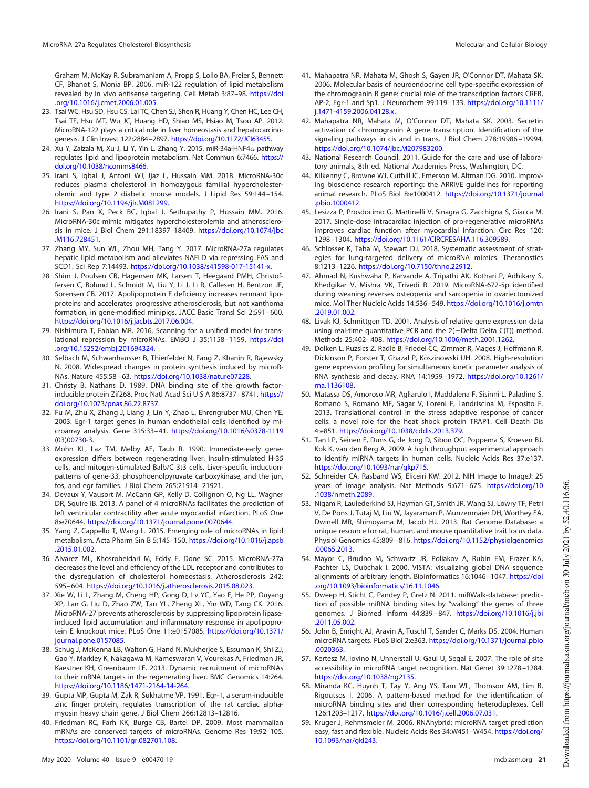Graham M, McKay R, Subramaniam A, Propp S, Lollo BA, Freier S, Bennett CF, Bhanot S, Monia BP. 2006. miR-122 regulation of lipid metabolism revealed by in vivo antisense targeting. Cell Metab 3:87–98. https://doi .org/10.1016/j.cmet.2006.01.005.

- <span id="page-20-8"></span>23. Tsai WC, Hsu SD, Hsu CS, Lai TC, Chen SJ, Shen R, Huang Y, Chen HC, Lee CH, Tsai TF, Hsu MT, Wu JC, Huang HD, Shiao MS, Hsiao M, Tsou AP. 2012. MicroRNA-122 plays a critical role in liver homeostasis and hepatocarcinogenesis. J Clin Invest 122:2884 –2897. https://doi.org/10.1172/JCI63455.
- <span id="page-20-9"></span>24. Xu Y, Zalzala M, Xu J, Li Y, Yin L, Zhang Y. 2015. miR-34a-HNF4 $\alpha$  pathway regulates lipid and lipoprotein metabolism. Nat Commun 6:7466. https:// doi.org/10.1038/ncomms8466.
- <span id="page-20-10"></span>25. Irani S, Iqbal J, Antoni WJ, Ijaz L, Hussain MM. 2018. MicroRNA-30c reduces plasma cholesterol in homozygous familial hypercholesterolemic and type 2 diabetic mouse models. J Lipid Res 59:144 –154. https://doi.org/10.1194/jlr.M081299.
- <span id="page-20-11"></span>26. Irani S, Pan X, Peck BC, Iqbal J, Sethupathy P, Hussain MM. 2016. MicroRNA-30c mimic mitigates hypercholesterolemia and atherosclerosis in mice. J Biol Chem 291:18397-18409. https://doi.org/10.1074/jbc .M116.728451.
- <span id="page-20-12"></span>27. Zhang MY, Sun WL, Zhou MH, Tang Y. 2017. MicroRNA-27a regulates hepatic lipid metabolism and alleviates NAFLD via repressing FAS and SCD1. Sci Rep 7:14493. https://doi.org/10.1038/s41598-017-15141-x.
- <span id="page-20-13"></span>28. Shim J, Poulsen CB, Hagensen MK, Larsen T, Heegaard PMH, Christoffersen C, Bolund L, Schmidt M, Liu Y, Li J, Li R, Callesen H, Bentzon JF, Sorensen CB. 2017. Apolipoprotein E deficiency increases remnant lipoproteins and accelerates progressive atherosclerosis, but not xanthoma formation, in gene-modified minipigs. JACC Basic Transl Sci 2:591– 600. https://doi.org/10.1016/j.jacbts.2017.06.004.
- <span id="page-20-14"></span>29. Nishimura T, Fabian MR. 2016. Scanning for a unified model for translational repression by microRNAs. EMBO J 35:1158 –1159. https://doi .org/10.15252/embj.201694324.
- <span id="page-20-15"></span>30. Selbach M, Schwanhausser B, Thierfelder N, Fang Z, Khanin R, Rajewsky N. 2008. Widespread changes in protein synthesis induced by microR-NAs. Nature 455:58 – 63. https://doi.org/10.1038/nature07228.
- <span id="page-20-16"></span>31. Christy B, Nathans D. 1989. DNA binding site of the growth factorinducible protein Zif268. Proc Natl Acad Sci U S A 86:8737-8741. https:// doi.org/10.1073/pnas.86.22.8737.
- <span id="page-20-17"></span>32. Fu M, Zhu X, Zhang J, Liang J, Lin Y, Zhao L, Ehrengruber MU, Chen YE. 2003. Egr-1 target genes in human endothelial cells identified by microarray analysis. Gene 315:33– 41. https://doi.org/10.1016/s0378-1119 (03)00730-3.
- <span id="page-20-18"></span>33. Mohn KL, Laz TM, Melby AE, Taub R. 1990. Immediate-early geneexpression differs between regenerating liver, insulin-stimulated H-35 cells, and mitogen-stimulated Balb/C 3t3 cells. Liver-specific inductionpatterns of gene-33, phosphoenolpyruvate carboxykinase, and the jun, fos, and egr families. J Biol Chem 265:21914 –21921.
- <span id="page-20-19"></span>34. Devaux Y, Vausort M, McCann GP, Kelly D, Collignon O, Ng LL, Wagner DR, Squire IB. 2013. A panel of 4 microRNAs facilitates the prediction of left ventricular contractility after acute myocardial infarction. PLoS One 8:e70644. https://doi.org/10.1371/journal.pone.0070644.
- <span id="page-20-21"></span><span id="page-20-20"></span>35. Yang Z, Cappello T, Wang L. 2015. Emerging role of microRNAs in lipid metabolism. Acta Pharm Sin B 5:145–150. https://doi.org/10.1016/j.apsb .2015.01.002.
- 36. Alvarez ML, Khosroheidari M, Eddy E, Done SC. 2015. MicroRNA-27a decreases the level and efficiency of the LDL receptor and contributes to the dysregulation of cholesterol homeostasis. Atherosclerosis 242: 595– 604. https://doi.org/10.1016/j.atherosclerosis.2015.08.023.
- <span id="page-20-22"></span>37. Xie W, Li L, Zhang M, Cheng HP, Gong D, Lv YC, Yao F, He PP, Ouyang XP, Lan G, Liu D, Zhao ZW, Tan YL, Zheng XL, Yin WD, Tang CK. 2016. MicroRNA-27 prevents atherosclerosis by suppressing lipoprotein lipaseinduced lipid accumulation and inflammatory response in apolipoprotein E knockout mice. PLoS One 11:e0157085. https://doi.org/10.1371/ journal.pone.0157085.
- <span id="page-20-23"></span>38. Schug J, McKenna LB, Walton G, Hand N, Mukherjee S, Essuman K, Shi ZJ, Gao Y, Markley K, Nakagawa M, Kameswaran V, Vourekas A, Friedman JR, Kaestner KH, Greenbaum LE. 2013. Dynamic recruitment of microRNAs to their mRNA targets in the regenerating liver. BMC Genomics 14:264. https://doi.org/10.1186/1471-2164-14-264.
- <span id="page-20-24"></span><span id="page-20-4"></span>39. Gupta MP, Gupta M, Zak R, Sukhatme VP. 1991. Egr-1, a serum-inducible zinc finger protein, regulates transcription of the rat cardiac alphamyosin heavy chain gene. J Biol Chem 266:12813–12816.
- 40. Friedman RC, Farh KK, Burge CB, Bartel DP. 2009. Most mammalian mRNAs are conserved targets of microRNAs. Genome Res 19:92–105. https://doi.org/10.1101/gr.082701.108.
- <span id="page-20-25"></span>41. Mahapatra NR, Mahata M, Ghosh S, Gayen JR, O'Connor DT, Mahata SK. 2006. Molecular basis of neuroendocrine cell type-specific expression of the chromogranin B gene: crucial role of the transcription factors CREB, AP-2, Egr-1 and Sp1. J Neurochem 99:119 –133. https://doi.org/10.1111/ j.1471-4159.2006.04128.x.
- <span id="page-20-26"></span>42. Mahapatra NR, Mahata M, O'Connor DT, Mahata SK. 2003. Secretin activation of chromogranin A gene transcription. Identification of the signaling pathways in cis and in trans. J Biol Chem 278:19986 –19994. https://doi.org/10.1074/jbc.M207983200.
- <span id="page-20-28"></span><span id="page-20-27"></span>43. National Research Council. 2011. Guide for the care and use of laboratory animals, 8th ed. National Academies Press, Washington, DC.
- 44. Kilkenny C, Browne WJ, Cuthill IC, Emerson M, Altman DG. 2010. Improving bioscience research reporting: the ARRIVE guidelines for reporting animal research. PLoS Biol 8:e1000412. https://doi.org/10.1371/journal .pbio.1000412.
- <span id="page-20-29"></span>45. Lesizza P, Prosdocimo G, Martinelli V, Sinagra G, Zacchigna S, Giacca M. 2017. Single-dose intracardiac injection of pro-regenerative microRNAs improves cardiac function after myocardial infarction. Circ Res 120: 1298 –1304. https://doi.org/10.1161/CIRCRESAHA.116.309589.
- <span id="page-20-30"></span>46. Schlosser K, Taha M, Stewart DJ. 2018. Systematic assessment of strategies for lung-targeted delivery of microRNA mimics. Theranostics 8:1213–1226. https://doi.org/10.7150/thno.22912.
- <span id="page-20-31"></span>47. Ahmad N, Kushwaha P, Karvande A, Tripathi AK, Kothari P, Adhikary S, Khedgikar V, Mishra VK, Trivedi R. 2019. MicroRNA-672-5p identified during weaning reverses osteopenia and sarcopenia in ovariectomized mice. Mol Ther Nucleic Acids 14:536 –549. https://doi.org/10.1016/j.omtn .2019.01.002.
- <span id="page-20-32"></span>48. Livak KJ, Schmittgen TD. 2001. Analysis of relative gene expression data using real-time quantitative PCR and the 2(-Delta Delta C(T)) method. Methods 25:402– 408. https://doi.org/10.1006/meth.2001.1262.
- <span id="page-20-33"></span>49. Dolken L, Ruzsics Z, Radle B, Friedel CC, Zimmer R, Mages J, Hoffmann R, Dickinson P, Forster T, Ghazal P, Koszinowski UH. 2008. High-resolution gene expression profiling for simultaneous kinetic parameter analysis of RNA synthesis and decay. RNA 14:1959 –1972. https://doi.org/10.1261/ rna.1136108.
- <span id="page-20-34"></span>50. Matassa DS, Amoroso MR, Agliarulo I, Maddalena F, Sisinni L, Paladino S, Romano S, Romano MF, Sagar V, Loreni F, Landriscina M, Esposito F. 2013. Translational control in the stress adaptive response of cancer cells: a novel role for the heat shock protein TRAP1. Cell Death Dis 4:e851. https://doi.org/10.1038/cddis.2013.379.
- <span id="page-20-35"></span>51. Tan LP, Seinen E, Duns G, de Jong D, Sibon OC, Poppema S, Kroesen BJ, Kok K, van den Berg A. 2009. A high throughput experimental approach to identify miRNA targets in human cells. Nucleic Acids Res 37:e137. https://doi.org/10.1093/nar/gkp715.
- <span id="page-20-36"></span>52. Schneider CA, Rasband WS, Eliceiri KW. 2012. NIH Image to ImageJ: 25 years of image analysis. Nat Methods 9:671-675. https://doi.org/10 .1038/nmeth.2089.
- <span id="page-20-0"></span>53. Nigam R, Laulederkind SJ, Hayman GT, Smith JR, Wang SJ, Lowry TF, Petri V, De Pons J, Tutaj M, Liu W, Jayaraman P, Munzenmaier DH, Worthey EA, Dwinell MR, Shimoyama M, Jacob HJ. 2013. Rat Genome Database: a unique resource for rat, human, and mouse quantitative trait locus data. Physiol Genomics 45:809 – 816. https://doi.org/10.1152/physiolgenomics .00065.2013.
- <span id="page-20-1"></span>54. Mayor C, Brudno M, Schwartz JR, Poliakov A, Rubin EM, Frazer KA, Pachter LS, Dubchak I. 2000. VISTA: visualizing global DNA sequence alignments of arbitrary length. Bioinformatics 16:1046 –1047. https://doi .org/10.1093/bioinformatics/16.11.1046.
- <span id="page-20-2"></span>55. Dweep H, Sticht C, Pandey P, Gretz N. 2011. miRWalk-database: prediction of possible miRNA binding sites by "walking" the genes of three genomes. J Biomed Inform 44:839 – 847. https://doi.org/10.1016/j.jbi .2011.05.002.
- <span id="page-20-5"></span><span id="page-20-3"></span>56. John B, Enright AJ, Aravin A, Tuschl T, Sander C, Marks DS. 2004. Human microRNA targets. PLoS Biol 2:e363. https://doi.org/10.1371/journal.pbio .0020363.
- <span id="page-20-6"></span>57. Kertesz M, Iovino N, Unnerstall U, Gaul U, Segal E. 2007. The role of site accessibility in microRNA target recognition. Nat Genet 39:1278 –1284. https://doi.org/10.1038/ng2135.
- 58. Miranda KC, Huynh T, Tay Y, Ang YS, Tam WL, Thomson AM, Lim B, Rigoutsos I. 2006. A pattern-based method for the identification of microRNA binding sites and their corresponding heteroduplexes. Cell 126:1203–1217. https://doi.org/10.1016/j.cell.2006.07.031.
- <span id="page-20-7"></span>59. Kruger J, Rehmsmeier M. 2006. RNAhybrid: microRNA target prediction easy, fast and flexible. Nucleic Acids Res 34:W451–W454. https://doi.org/ 10.1093/nar/gkl243.